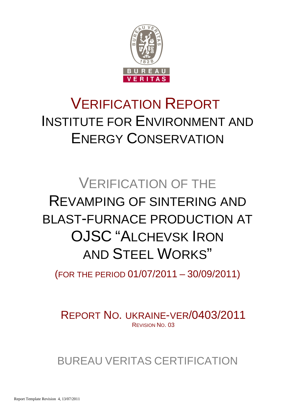

# VERIFICATION REPORT INSTITUTE FOR ENVIRONMENT AND ENERGY CONSERVATION

# VERIFICATION OF THE REVAMPING OF SINTERING AND BLAST-FURNACE PRODUCTION AT OJSC "ALCHEVSK IRON AND STEEL WORKS"

(FOR THE PERIOD 01/07/2011 – 30/09/2011)

REPORT NO. UKRAINE-VER/0403/2011 REVISION NO. 03

BUREAU VERITAS CERTIFICATION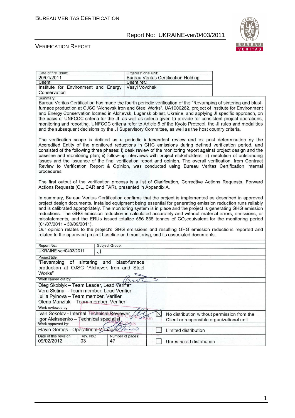

#### VERIFICATION REPORT

| Date of first issue:<br>20/01/2011<br>Client:                                                                                                                                                                                                                                                                                                                                                                                                                                                                                                                                                                                                                                                                                                                                                                     |                                            |                        | Organizational unit:<br>Client ref.: |                                           | <b>Bureau Veritas Certification Holding</b> |                                                                                                                                                                                                                                                                                                                                                                                                                                                                                                                                                                                                                                                                             |
|-------------------------------------------------------------------------------------------------------------------------------------------------------------------------------------------------------------------------------------------------------------------------------------------------------------------------------------------------------------------------------------------------------------------------------------------------------------------------------------------------------------------------------------------------------------------------------------------------------------------------------------------------------------------------------------------------------------------------------------------------------------------------------------------------------------------|--------------------------------------------|------------------------|--------------------------------------|-------------------------------------------|---------------------------------------------|-----------------------------------------------------------------------------------------------------------------------------------------------------------------------------------------------------------------------------------------------------------------------------------------------------------------------------------------------------------------------------------------------------------------------------------------------------------------------------------------------------------------------------------------------------------------------------------------------------------------------------------------------------------------------------|
| Institute for Environment and Energy<br>Conservation                                                                                                                                                                                                                                                                                                                                                                                                                                                                                                                                                                                                                                                                                                                                                              |                                            |                        | Vasyl Vovchak                        |                                           |                                             |                                                                                                                                                                                                                                                                                                                                                                                                                                                                                                                                                                                                                                                                             |
| Summary:                                                                                                                                                                                                                                                                                                                                                                                                                                                                                                                                                                                                                                                                                                                                                                                                          |                                            |                        |                                      |                                           |                                             |                                                                                                                                                                                                                                                                                                                                                                                                                                                                                                                                                                                                                                                                             |
| Bureau Veritas Certification has made the fourth periodic verification of the "Revamping of sintering and blast-<br>furnace production at OJSC "Alchevsk Iron and Steel Works", UA1000262, project of Institute for Environment<br>and Energy Conservation located in Alchevsk, Lugansk oblast, Ukraine, and applying JI specific approach, on<br>the basis of UNFCCC criteria for the JI, as well as criteria given to provide for consistent project operations,<br>monitoring and reporting. UNFCCC criteria refer to Article 6 of the Kyoto Protocol, the JI rules and modalities<br>and the subsequent decisions by the JI Supervisory Committee, as well as the host country criteria.                                                                                                                      |                                            |                        |                                      |                                           |                                             |                                                                                                                                                                                                                                                                                                                                                                                                                                                                                                                                                                                                                                                                             |
| procedures.                                                                                                                                                                                                                                                                                                                                                                                                                                                                                                                                                                                                                                                                                                                                                                                                       |                                            |                        |                                      |                                           |                                             | The verification scope is defined as a periodic independent review and ex post determination by the<br>Accredited Entity of the monitored reductions in GHG emissions during defined verification period, and<br>consisted of the following three phases: i) desk review of the monitoring report against project design and the<br>baseline and monitoring plan; ii) follow-up interviews with project stakeholders; iii) resolution of outstanding<br>issues and the issuance of the final verification report and opinion. The overall verification, from Contract<br>Review to Verification Report & Opinion, was conducted using Bureau Veritas Certification internal |
| Actions Requests (CL, CAR and FAR), presented in Appendix A.                                                                                                                                                                                                                                                                                                                                                                                                                                                                                                                                                                                                                                                                                                                                                      |                                            |                        |                                      |                                           |                                             | The first output of the verification process is a list of Clarification, Corrective Actions Requests, Forward                                                                                                                                                                                                                                                                                                                                                                                                                                                                                                                                                               |
| In summary, Bureau Veritas Certification confirms that the project is implemented as described in approved<br>project design documents. Installed equipment being essential for generating emission reduction runs reliably<br>and is calibrated appropriately. The monitoring system is in place and the project is generating GHG emission<br>reductions. The GHG emission reduction is calculated accurately and without material errors, omissions, or<br>misstatements, and the ERUs issued totalize 556 836 tonnes of CO <sub>2</sub> equivalent for the monitoring period<br>(01/07/2011 - 30/09/2011).<br>Our opinion relates to the project's GHG emissions and resulting GHG emission reductions reported and<br>related to the approved project baseline and monitoring, and its associated documents. |                                            |                        |                                      |                                           |                                             |                                                                                                                                                                                                                                                                                                                                                                                                                                                                                                                                                                                                                                                                             |
| Report No.:                                                                                                                                                                                                                                                                                                                                                                                                                                                                                                                                                                                                                                                                                                                                                                                                       |                                            | Subject Group:         |                                      |                                           |                                             |                                                                                                                                                                                                                                                                                                                                                                                                                                                                                                                                                                                                                                                                             |
| UKRAINE-ver/0403/2011                                                                                                                                                                                                                                                                                                                                                                                                                                                                                                                                                                                                                                                                                                                                                                                             | JI                                         |                        |                                      |                                           |                                             |                                                                                                                                                                                                                                                                                                                                                                                                                                                                                                                                                                                                                                                                             |
| Project title:                                                                                                                                                                                                                                                                                                                                                                                                                                                                                                                                                                                                                                                                                                                                                                                                    |                                            |                        |                                      |                                           |                                             |                                                                                                                                                                                                                                                                                                                                                                                                                                                                                                                                                                                                                                                                             |
| "Revamping<br>production at OJSC "Alchevsk Iron and Steel<br>Works"                                                                                                                                                                                                                                                                                                                                                                                                                                                                                                                                                                                                                                                                                                                                               | of sintering<br>and                        |                        | blast-furnace                        |                                           |                                             |                                                                                                                                                                                                                                                                                                                                                                                                                                                                                                                                                                                                                                                                             |
| Work carried out by:                                                                                                                                                                                                                                                                                                                                                                                                                                                                                                                                                                                                                                                                                                                                                                                              |                                            |                        |                                      | ⊃                                         |                                             |                                                                                                                                                                                                                                                                                                                                                                                                                                                                                                                                                                                                                                                                             |
| Oleg Skoblyk - Team Leader, Lead Verifier<br>Vera Skitina - Team member, Lead Verifier<br>Iuliia Pylnova - Team member, Verifier<br>Olena Manziuk - Team member, Verifier                                                                                                                                                                                                                                                                                                                                                                                                                                                                                                                                                                                                                                         |                                            |                        |                                      |                                           |                                             |                                                                                                                                                                                                                                                                                                                                                                                                                                                                                                                                                                                                                                                                             |
| Work reviewed by:                                                                                                                                                                                                                                                                                                                                                                                                                                                                                                                                                                                                                                                                                                                                                                                                 |                                            |                        |                                      |                                           |                                             |                                                                                                                                                                                                                                                                                                                                                                                                                                                                                                                                                                                                                                                                             |
| Ivan Sokolov - Internal Technical Reviewer<br>Igor Alekseenko - Technical specialist<br>Work approved by:                                                                                                                                                                                                                                                                                                                                                                                                                                                                                                                                                                                                                                                                                                         |                                            |                        | $\boxtimes$                          | Client or responsible organizational unit | No distribution without permission from the |                                                                                                                                                                                                                                                                                                                                                                                                                                                                                                                                                                                                                                                                             |
|                                                                                                                                                                                                                                                                                                                                                                                                                                                                                                                                                                                                                                                                                                                                                                                                                   | Flavio Gomes - Operational Manager<br>ri D |                        |                                      |                                           | Limited distribution                        |                                                                                                                                                                                                                                                                                                                                                                                                                                                                                                                                                                                                                                                                             |
| Date of this revision:<br>09/02/2012                                                                                                                                                                                                                                                                                                                                                                                                                                                                                                                                                                                                                                                                                                                                                                              | Rev. No.:<br>03                            | Number of pages:<br>47 |                                      |                                           | Unrestricted distribution                   |                                                                                                                                                                                                                                                                                                                                                                                                                                                                                                                                                                                                                                                                             |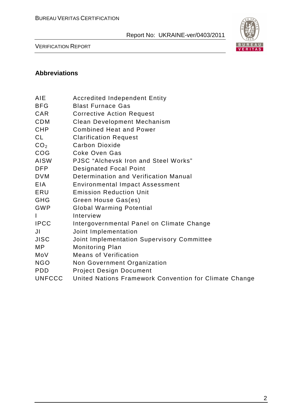

VERIFICATION REPORT

#### **Abbreviations**

- BFG Blast Furnace Gas
- CAR Corrective Action Request
- CDM Clean Development Mechanism
- CHP Combined Heat and Power
- CL Clarification Request
- CO<sub>2</sub> Carbon Dioxide
- COG Coke Oven Gas
- AISW PJSC "Alchevsk Iron and Steel Works"
- DFP Designated Focal Point
- DVM Determination and Verification Manual
- EIA Environmental Impact Assessment
- ERU Emission Reduction Unit
- GHG Green House Gas(es)
- GWP Global Warming Potential
- I Interview
- IPCC Intergovernmental Panel on Climate Change
- JI Joint Implementation
- JISC Joint Implementation Supervisory Committee
- MP Monitoring Plan
- MoV Means of Verification
- NGO Non Government Organization
- PDD Project Design Document
- UNFCCC United Nations Framework Convention for Climate Change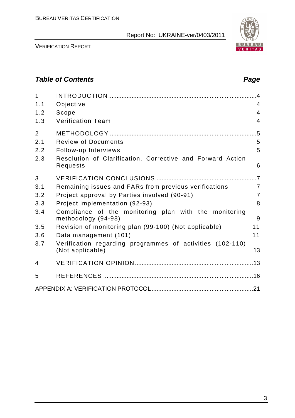

VERIFICATION REPORT

# **Table of Contents Page 2018**

| $\mathbf{1}$<br>1.1 | Objective                                                                     | $\overline{4}$ |
|---------------------|-------------------------------------------------------------------------------|----------------|
| 1.2                 | Scope                                                                         | $\overline{4}$ |
| 1.3                 | <b>Verification Team</b>                                                      | 4              |
| $\overline{2}$      |                                                                               | .5             |
| 2.1                 | <b>Review of Documents</b>                                                    | 5              |
| 2.2                 | Follow-up Interviews                                                          | 5              |
| 2.3                 | Resolution of Clarification, Corrective and Forward Action<br>Requests        | 6              |
| 3                   |                                                                               |                |
| 3.1                 | Remaining issues and FARs from previous verifications                         | $\overline{7}$ |
| 3.2                 | Project approval by Parties involved (90-91)                                  | $\overline{7}$ |
| 3.3                 | Project implementation (92-93)                                                | 8              |
| 3.4                 | Compliance of the monitoring plan with the monitoring<br>methodology (94-98)  | 9              |
| 3.5                 | Revision of monitoring plan (99-100) (Not applicable)                         | 11             |
| 3.6                 | Data management (101)                                                         | 11             |
| 3.7                 | Verification regarding programmes of activities (102-110)<br>(Not applicable) | 13             |
| 4                   |                                                                               |                |
| 5                   |                                                                               |                |
|                     |                                                                               |                |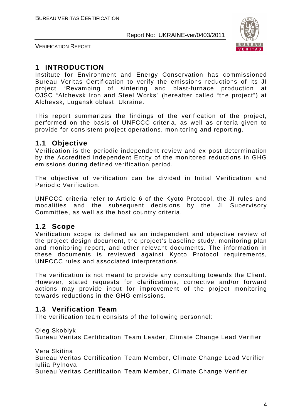

VERIFICATION REPORT

# **1 INTRODUCTION**

Institute for Environment and Energy Conservation has commissioned Bureau Veritas Certification to verify the emissions reductions of its JI project "Revamping of sintering and blast-furnace production at OJSC "Alchevsk Iron and Steel Works" (hereafter called "the project") at Alchevsk, Lugansk oblast, Ukraine.

This report summarizes the findings of the verification of the project, performed on the basis of UNFCCC criteria, as well as criteria given to provide for consistent project operations, monitoring and reporting.

#### **1.1 Objective**

Verification is the periodic independent review and ex post determination by the Accredited Independent Entity of the monitored reductions in GHG emissions during defined verification period.

The objective of verification can be divided in Initial Verification and Periodic Verification.

UNFCCC criteria refer to Article 6 of the Kyoto Protocol, the JI rules and modalities and the subsequent decisions by the JI Supervisory Committee, as well as the host country criteria.

#### **1.2 Scope**

Verification scope is defined as an independent and objective review of the project design document, the project's baseline study, monitoring plan and monitoring report, and other relevant documents. The information in these documents is reviewed against Kyoto Protocol requirements, UNFCCC rules and associated interpretations.

The verification is not meant to provide any consulting towards the Client. However, stated requests for clarifications, corrective and/or forward actions may provide input for improvement of the project monitoring towards reductions in the GHG emissions.

# **1.3 Verification Team**

The verification team consists of the following personnel:

Oleg Skoblyk

Bureau Veritas Certification Team Leader, Climate Change Lead Verifier

Vera Skitina

Bureau Veritas Certification Team Member, Climate Change Lead Verifier Iuliia Pylnova

Bureau Veritas Certification Team Member, Climate Change Verifier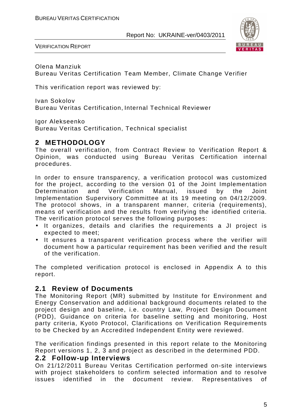

VERIFICATION REPORT

Olena Manziuk Bureau Veritas Certification Team Member, Climate Change Verifier

This verification report was reviewed by:

Ivan Sokolov Bureau Veritas Certification, Internal Technical Reviewer

Igor Alekseenko

Bureau Veritas Certification, Technical specialist

# **2 METHODOLOGY**

The overall verification, from Contract Review to Verification Report & Opinion, was conducted using Bureau Veritas Certification internal procedures.

In order to ensure transparency, a verification protocol was customized for the project, according to the version 01 of the Joint Implementation Determination and Verification Manual, issued by the Joint Implementation Supervisory Committee at its 19 meeting on 04/12/2009. The protocol shows, in a transparent manner, criteria (requirements), means of verification and the results from verifying the identified criteria. The verification protocol serves the following purposes:

- It organizes, details and clarifies the requirements a JI project is expected to meet;
- It ensures a transparent verification process where the verifier will document how a particular requirement has been verified and the result of the verification.

The completed verification protocol is enclosed in Appendix A to this report.

#### **2.1 Review of Documents**

The Monitoring Report (MR) submitted by Institute for Environment and Energy Conservation and additional background documents related to the project design and baseline, i.e. country Law, Project Design Document (PDD), Guidance on criteria for baseline setting and monitoring, Host party criteria, Kyoto Protocol, Clarifications on Verification Requirements to be Checked by an Accredited Independent Entity were reviewed.

The verification findings presented in this report relate to the Monitoring Report versions 1, 2, 3 and project as described in the determined PDD.

#### **2.2 Follow-up Interviews**

On 21/12/2011 Bureau Veritas Certification performed on-site interviews with project stakeholders to confirm selected information and to resolve issues identified in the document review. Representatives of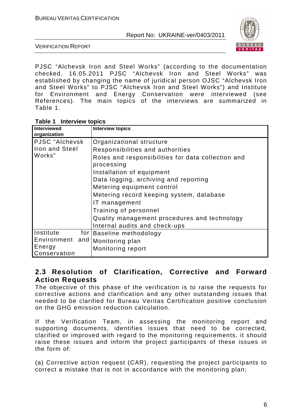

VERIFICATION REPORT

PJSC "Alchevsk Iron and Steel Works" (according to the documentation checked, 16.05.2011 PJSC "Alchevsk Iron and Steel Works" was established by changing the name of juridical person OJSC "Alchevsk Iron and Steel Works" to PJSC "Alchevsk Iron and Steel Works") and Institute for Environment and Energy Conservation were interviewed (see References). The main topics of the interviews are summarized in Table 1.

| <b>Interviewed</b><br>organization |             | <b>Interview topics</b>                                          |
|------------------------------------|-------------|------------------------------------------------------------------|
| PJSC "Alchevsk                     |             | Organizational structure                                         |
| Iron and Steel                     |             | Responsibilities and authorities                                 |
| Works"                             |             | Roles and responsibilities for data collection and<br>processing |
|                                    |             | Installation of equipment                                        |
|                                    |             | Data logging, archiving and reporting                            |
|                                    |             | Metering equipment control                                       |
|                                    |             | Metering record keeping system, database                         |
|                                    |             | IT management                                                    |
|                                    |             | Training of personnel                                            |
|                                    |             | Quality management procedures and technology                     |
|                                    |             | Internal audits and check-ups                                    |
| Institute                          | for $\vert$ | Baseline methodology                                             |
| Environment and                    |             | Monitoring plan                                                  |
| Energy<br>Conservation             |             | Monitoring report                                                |

#### **2.3 Resolution of Clarification, Corrective and Forward Action Requests**

The objective of this phase of the verification is to raise the requests for corrective actions and clarification and any other outstanding issues that needed to be clarified for Bureau Veritas Certification positive conclusion on the GHG emission reduction calculation.

If the Verification Team, in assessing the monitoring report and supporting documents, identifies issues that need to be corrected, clarified or improved with regard to the monitoring requirements, it should raise these issues and inform the project participants of these issues in the form of:

(a) Corrective action request (CAR), requesting the project participants to correct a mistake that is not in accordance with the monitoring plan;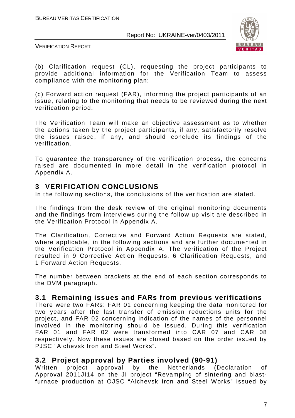

VERIFICATION REPORT

(b) Clarification request (CL), requesting the project participants to provide additional information for the Verification Team to assess compliance with the monitoring plan;

(c) Forward action request (FAR), informing the project participants of an issue, relating to the monitoring that needs to be reviewed during the next verification period.

The Verification Team will make an objective assessment as to whether the actions taken by the project participants, if any, satisfactorily resolve the issues raised, if any, and should conclude its findings of the verification.

To guarantee the transparency of the verification process, the concerns raised are documented in more detail in the verification protocol in Appendix A.

# **3 VERIFICATION CONCLUSIONS**

In the following sections, the conclusions of the verification are stated.

The findings from the desk review of the original monitoring documents and the findings from interviews during the follow up visit are described in the Verification Protocol in Appendix A.

The Clarification, Corrective and Forward Action Requests are stated, where applicable, in the following sections and are further documented in the Verification Protocol in Appendix A. The verification of the Project resulted in 9 Corrective Action Requests, 6 Clarification Requests, and 1 Forward Action Requests.

The number between brackets at the end of each section corresponds to the DVM paragraph.

# **3.1 Remaining issues and FARs from previous verifications**

There were two FARs: FAR 01 concerning keeping the data monitored for two years after the last transfer of emission reductions units for the project, and FAR 02 concerning indication of the names of the personnel involved in the monitoring should be issued. During this verification FAR 01 and FAR 02 were transformed into CAR 07 and CAR 08 respectively. Now these issues are closed based on the order issued by PJSC "Alchevsk Iron and Steel Works".

#### **3.2 Project approval by Parties involved (90-91)**

Written project approval by the Netherlands (Declaration of Approval 2011JI14 on the JI project "Revamping of sintering and blastfurnace production at OJSC "Alchevsk Iron and Steel Works" issued by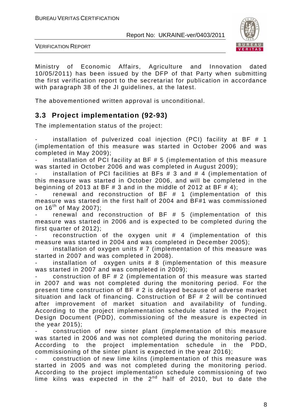

VERIFICATION REPORT

Ministry of Economic Affairs, Agriculture and Innovation dated 10/05/2011) has been issued by the DFP of that Party when submitting the first verification report to the secretariat for publication in accordance with paragraph 38 of the JI guidelines, at the latest.

The abovementioned written approval is unconditional.

# **3.3 Project implementation (92-93)**

The implementation status of the project:

installation of pulverized coal injection (PCI) facility at BF  $#$  1 (implementation of this measure was started in October 2006 and was completed in May 2009);

installation of PCI facility at BF  $# 5$  (implementation of this measure was started in October 2006 and was completed in August 2009);

installation of PCI facilities at BFs  $# 3$  and  $# 4$  (implementation of this measure was started in October 2006, and will be completed in the beginning of 2013 at BF  $\#$  3 and in the middle of 2012 at BF  $\#$  4);

renewal and reconstruction of  $BF # 1$  (implementation of this measure was started in the first half of 2004 and BF#1 was commissioned on  $16^{th}$  of May 2007);

renewal and reconstruction of  $BF$   $#$  5 (implementation of this measure was started in 2006 and is expected to be completed during the first quarter of 2012);

reconstruction of the oxygen unit  $#$  4 (implementation of this measure was started in 2004 and was completed in December 2005);

installation of oxygen units  $# 7$  (implementation of this measure was started in 2007 and was completed in 2008).

installation of oxygen units  $# 8$  (implementation of this measure was started in 2007 and was completed in 2009);

construction of BF  $# 2$  (implementation of this measure was started in 2007 and was not completed during the monitoring period. For the present time construction of BF # 2 is delayed because of adverse market situation and lack of financing. Construction of BF # 2 will be continued after improvement of market situation and availability of funding. According to the project implementation schedule stated in the Project Design Document (PDD), commissioning of the measure is expected in the year 2015);

construction of new sinter plant (implementation of this measure was started in 2006 and was not completed during the monitoring period. According to the project implementation schedule in the PDD, commissioning of the sinter plant is expected in the year 2016);

construction of new lime kilns (implementation of this measure was started in 2005 and was not completed during the monitoring period. According to the project implementation schedule commissioning of two lime kilns was expected in the  $2^{nd}$  half of 2010, but to date the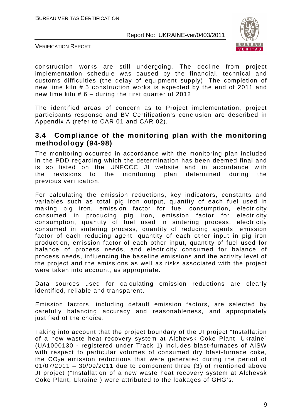

VERIFICATION REPORT

construction works are still undergoing. The decline from project implementation schedule was caused by the financial, technical and customs difficulties (the delay of equipment supply). The completion of new lime kiln # 5 construction works is expected by the end of 2011 and new lime kiln # 6 – during the first quarter of 2012.

The identified areas of concern as to Project implementation, project participants response and BV Certification's conclusion are described in Appendix A (refer to CAR 01 and CAR 02).

#### **3.4 Compliance of the monitoring plan with the monitoring methodology (94-98)**

The monitoring occurred in accordance with the monitoring plan included in the PDD regarding which the determination has been deemed final and is so listed on the UNFCCC JI website and in accordance with the revisions to the monitoring plan determined during the previous verification.

For calculating the emission reductions, key indicators, constants and variables such as total pig iron output, quantity of each fuel used in making pig iron, emission factor for fuel consumption, electricity consumed in producing pig iron, emission factor for electricity consumption, quantity of fuel used in sintering process, electricity consumed in sintering process, quantity of reducing agents, emission factor of each reducing agent, quantity of each other input in pig iron production, emission factor of each other input, quantity of fuel used for balance of process needs, and electricity consumed for balance of process needs, influencing the baseline emissions and the activity level of the project and the emissions as well as risks associated with the project were taken into account, as appropriate.

Data sources used for calculating emission reductions are clearly identified, reliable and transparent.

Emission factors, including default emission factors, are selected by carefully balancing accuracy and reasonableness, and appropriately justified of the choice.

Taking into account that the project boundary of the JI project "Installation of a new waste heat recovery system at Alchevsk Coke Plant, Ukraine" (UA1000130 - registered under Track 1) includes blast-furnaces of AISW with respect to particular volumes of consumed dry blast-furnace coke, the  $CO<sub>2</sub>e$  emission reductions that were generated during the period of 01/07/2011 – 30/09/2011 due to component three (3) of mentioned above JI project ("Installation of a new waste heat recovery system at Alchevsk Coke Plant, Ukraine") were attributed to the leakages of GHG's.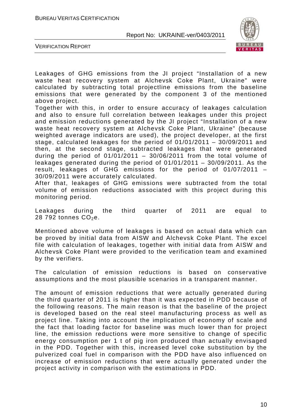

VERIFICATION REPORT

Leakages of GHG emissions from the JI project "Installation of a new waste heat recovery system at Alchevsk Coke Plant, Ukraine" were calculated by subtracting total projectline emissions from the baseline emissions that were generated by the component 3 of the mentioned above project.

Together with this, in order to ensure accuracy of leakages calculation and also to ensure full correlation between leakages under this project and emission reductions generated by the JI project "Installation of a new waste heat recovery system at Alchevsk Coke Plant, Ukraine" (because weighted average indicators are used), the project developer, at the first stage, calculated leakages for the period of 01/01/2011 – 30/09/2011 and then, at the second stage, subtracted leakages that were generated during the period of  $01/01/2011 - 30/06/2011$  from the total volume of leakages generated during the period of 01/01/2011 – 30/09/2011. As the result, leakages of GHG emissions for the period of 01/07/2011 – 30/09/2011 were accurately calculated.

After that, leakages of GHG emissions were subtracted from the total volume of emission reductions associated with this project during this monitoring period.

Leakages during the third quarter of 2011 are equal to 28 792 tonnes  $CO<sub>2</sub>e$ .

Mentioned above volume of leakages is based on actual data which can be proved by initial data from AISW and Alchevsk Coke Plant. The excel file with calculation of leakages, together with initial data from AISW and Alchevsk Coke Plant were provided to the verification team and examined by the verifiers.

The calculation of emission reductions is based on conservative assumptions and the most plausible scenarios in a transparent manner.

The amount of emission reductions that were actually generated during the third quarter of 2011 is higher than it was expected in PDD because of the following reasons. The main reason is that the baseline of the project is developed based on the real steel manufacturing process as well as project line. Taking into account the implication of economy of scale and the fact that loading factor for baseline was much lower than for project line, the emission reductions were more sensitive to change of specific energy consumption per 1 t of pig iron produced than actually envisaged in the PDD. Together with this, increased level coke substitution by the pulverized coal fuel in comparison with the PDD have also influenced on increase of emission reductions that were actually generated under the project activity in comparison with the estimations in PDD.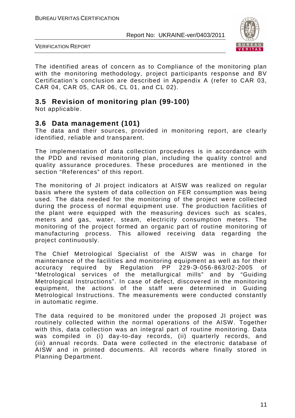

VERIFICATION REPORT

The identified areas of concern as to Compliance of the monitoring plan with the monitoring methodology, project participants response and BV Certification's conclusion are described in Appendix A (refer to CAR 03, CAR 04, CAR 05, CAR 06, CL 01, and CL 02).

#### **3.5 Revision of monitoring plan (99-100)**

Not applicable.

#### **3.6 Data management (101)**

The data and their sources, provided in monitoring report, are clearly identified, reliable and transparent.

The implementation of data collection procedures is in accordance with the PDD and revised monitoring plan, including the quality control and quality assurance procedures. These procedures are mentioned in the section "References" of this report.

The monitoring of JI project indicators at AISW was realized on regular basis where the system of data collection on FER consumption was being used. The data needed for the monitoring of the project were collected during the process of normal equipment use. The production facilities of the plant were equipped with the measuring devices such as scales, meters and gas, water, steam, electricity consumption meters. The monitoring of the project formed an organic part of routine monitoring of manufacturing process. This allowed receiving data regarding the project continuously.

The Chief Metrological Specialist of the AISW was in charge for maintenance of the facilities and monitoring equipment as well as for their accuracy required by Regulation PP 229-Э-056-863/02-2005 of "Metrological services of the metallurgical mills" and by "Guiding Metrological Instructions". In case of defect, discovered in the monitoring equipment, the actions of the staff were determined in Guiding Metrological Instructions. The measurements were conducted constantly in automatic regime.

The data required to be monitored under the proposed JI project was routinely collected within the normal operations of the AISW. Together with this, data collection was an integral part of routine monitoring. Data was compiled in (i) day-to-day records, (ii) quarterly records, and (iii) annual records. Data were collected in the electronic database of AISW and in printed documents. All records where finally stored in Planning Department.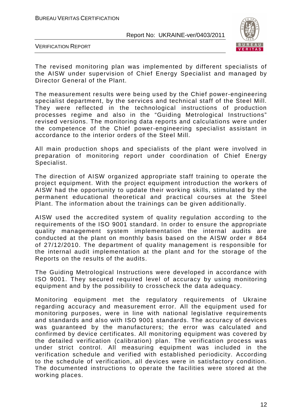

VERIFICATION REPORT

The revised monitoring plan was implemented by different specialists of the AISW under supervision of Chief Energy Specialist and managed by Director General of the Plant.

The measurement results were being used by the Chief power-engineering specialist department, by the services and technical staff of the Steel Mill. They were reflected in the technological instructions of production processes regime and also in the "Guiding Metrological Instructions" revised versions. The monitoring data reports and calculations were under the competence of the Chief power-engineering specialist assistant in accordance to the interior orders of the Steel Mill.

All main production shops and specialists of the plant were involved in preparation of monitoring report under coordination of Chief Energy Specialist.

The direction of AISW organized appropriate staff training to operate the project equipment. With the project equipment introduction the workers of AISW had the opportunity to update their working skills, stimulated by the permanent educational theoretical and practical courses at the Steel Plant. The information about the trainings can be given additionally.

AISW used the accredited system of quality regulation according to the requirements of the ISO 9001 standard. In order to ensure the appropriate quality management system implementation the internal audits are conducted at the plant on monthly basis based on the AISW order # 864 of 27/12/2010. The department of quality management is responsible for the internal audit implementation at the plant and for the storage of the Reports on the results of the audits.

The Guiding Metrological Instructions were developed in accordance with ISO 9001. They secured required level of accuracy by using monitoring equipment and by the possibility to crosscheck the data adequacy.

Monitoring equipment met the regulatory requirements of Ukraine regarding accuracy and measurement error. All the equipment used for monitoring purposes, were in line with national legislative requirements and standards and also with ISO 9001 standards. The accuracy of devices was guaranteed by the manufacturers; the error was calculated and confirmed by device certificates. All monitoring equipment was covered by the detailed verification (calibration) plan. The verification process was under strict control. All measuring equipment was included in the verification schedule and verified with established periodicity. According to the schedule of verification, all devices were in satisfactory condition. The documented instructions to operate the facilities were stored at the working places.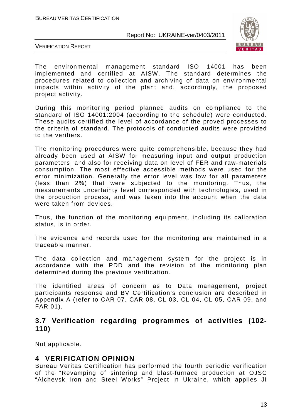

VERIFICATION REPORT

The environmental management standard ISO 14001 has been implemented and certified at AISW. The standard determines the procedures related to collection and archiving of data on environmental impacts within activity of the plant and, accordingly, the proposed project activity.

During this monitoring period planned audits on compliance to the standard of ISO 14001:2004 (according to the schedule) were conducted. These audits certified the level of accordance of the proved processes to the criteria of standard. The protocols of conducted audits were provided to the verifiers.

The monitoring procedures were quite comprehensible, because they had already been used at AISW for measuring input and output production parameters, and also for receiving data on level of FER and raw-materials consumption. The most effective accessible methods were used for the error minimization. Generally the error level was low for all parameters (less than 2%) that were subjected to the monitoring. Thus, the measurements uncertainty level corresponded with technologies, used in the production process, and was taken into the account when the data were taken from devices.

Thus, the function of the monitoring equipment, including its calibration status, is in order.

The evidence and records used for the monitoring are maintained in a traceable manner.

The data collection and management system for the project is in accordance with the PDD and the revision of the monitoring plan determined during the previous verification.

The identified areas of concern as to Data management, project participants response and BV Certification's conclusion are described in Appendix A (refer to CAR 07, CAR 08, CL 03, CL 04, CL 05, CAR 09, and FAR 01).

#### **3.7 Verification regarding programmes of activities (102- 110)**

Not applicable.

#### **4 VERIFICATION OPINION**

Bureau Veritas Certification has performed the fourth periodic verification of the "Revamping of sintering and blast-furnace production at OJSC "Alchevsk Iron and Steel Works" Project in Ukraine, which applies JI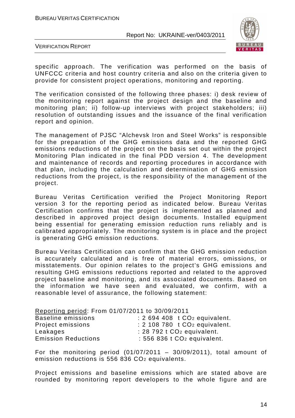

VERIFICATION REPORT

specific approach. The verification was performed on the basis of UNFCCC criteria and host country criteria and also on the criteria given to provide for consistent project operations, monitoring and reporting.

The verification consisted of the following three phases: i) desk review of the monitoring report against the project design and the baseline and monitoring plan; ii) follow-up interviews with project stakeholders; iii) resolution of outstanding issues and the issuance of the final verification report and opinion.

The management of PJSC "Alchevsk Iron and Steel Works" is responsible for the preparation of the GHG emissions data and the reported GHG emissions reductions of the project on the basis set out within the project Monitoring Plan indicated in the final PDD version 4. The development and maintenance of records and reporting procedures in accordance with that plan, including the calculation and determination of GHG emission reductions from the project, is the responsibility of the management of the project.

Bureau Veritas Certification verified the Project Monitoring Report version 3 for the reporting period as indicated below. Bureau Veritas Certification confirms that the project is implemented as planned and described in approved project design documents. Installed equipment being essential for generating emission reduction runs reliably and is calibrated appropriately. The monitoring system is in place and the project is generating GHG emission reductions.

Bureau Veritas Certification can confirm that the GHG emission reduction is accurately calculated and is free of material errors, omissions, or misstatements. Our opinion relates to the project's GHG emissions and resulting GHG emissions reductions reported and related to the approved project baseline and monitoring, and its associated documents. Based on the information we have seen and evaluated, we confirm, with a reasonable level of assurance, the following statement:

Reporting period: From 01/07/2011 to 30/09/2011

| the contract of the contract of the contract of the contract of the contract of<br>Baseline emissions | $: 2694408$ t CO <sub>2</sub> equivalent.   |
|-------------------------------------------------------------------------------------------------------|---------------------------------------------|
| Project emissions                                                                                     | $: 2$ 108 780 t CO <sub>2</sub> equivalent. |
| Leakages                                                                                              | $: 28792$ t CO <sub>2</sub> equivalent.     |
| <b>Emission Reductions</b>                                                                            | $: 556$ 836 t $CO2$ equivalent.             |

For the monitoring period  $(01/07/2011 - 30/09/2011)$ , total amount of emission reductions is 556 836 CO2 equivalents.

Project emissions and baseline emissions which are stated above are rounded by monitoring report developers to the whole figure and are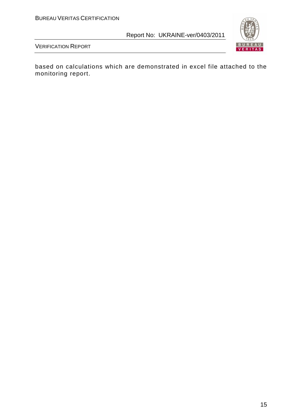

VERIFICATION REPORT

based on calculations which are demonstrated in excel file attached to the monitoring report.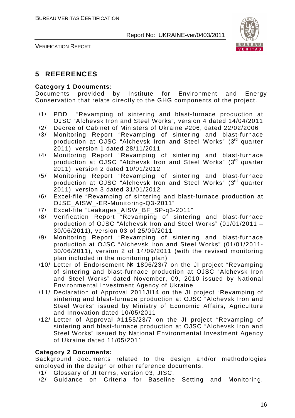

VERIFICATION REPORT

# **5 REFERENCES**

#### **Category 1 Documents:**

Documents provided by Institute for Environment and Energy Conservation that relate directly to the GHG components of the project.

- /1/ PDD "Revamping of sintering and blast-furnace production at OJSC "Alchevsk Iron and Steel Works", version 4 dated 14/04/2011
- /2/ Decree of Cabinet of Ministers of Ukraine #206, dated 22/02/2006
- /3/ Monitoring Report "Revamping of sintering and blast-furnace production at OJSC "Alchevsk Iron and Steel Works" (3rd quarter 2011), version 1 dated 28/11/2011
- /4/ Monitoring Report "Revamping of sintering and blast-furnace production at OJSC "Alchevsk Iron and Steel Works" (3rd quarter 2011), version 2 dated 10/01/2012
- /5/ Monitoring Report "Revamping of sintering and blast-furnace production at OJSC "Alchevsk Iron and Steel Works" (3rd quarter 2011), version 3 dated 31/01/2012
- /6/ Excel-file "Revamping of sintering and blast-furnace production at OJSC\_AISW\_-ER-Monitoring-Q3-2011"
- /7/ Excel-file "Leakages\_AISW\_BF\_SP-q3-2011"
- /8/ Verification Report "Revamping of sintering and blast-furnace production of OJSC "Alchevsk Iron and Steel Works" (01/01/2011 – 30/06/2011), version 03 of 25/09/2011
- /9/ Monitoring Report "Revamping of sintering and blast-furnace production at OJSC "Alchevsk Iron and Steel Works" (01/01/2011- 30/06/2011), version 2 of 14/09/2011 (with the revised monitoring plan included in the monitoring plan)
- /10/ Letter of Endorsement № 1806/23/7 on the JI project "Revamping of sintering and blast-furnace production at OJSC "Alchevsk Iron and Steel Works" dated November, 09, 2010 issued by National Environmental Investment Agency of Ukraine
- /11/ Declaration of Approval 2011JI14 on the JI project "Revamping of sintering and blast-furnace production at OJSC "Alchevsk Iron and Steel Works" issued by Ministry of Economic Affairs, Agriculture and Innovation dated 10/05/2011
- /12/ Letter of Approval #1155/23/7 on the JI project "Revamping of sintering and blast-furnace production at OJSC "Alchevsk Iron and Steel Works" issued by National Environmental Investment Agency of Ukraine dated 11/05/2011

#### **Category 2 Documents:**

Background documents related to the design and/or methodologies employed in the design or other reference documents.

- /1/ Glossary of JI terms, version 03, JISC.
- /2/ Guidance on Criteria for Baseline Setting and Monitoring,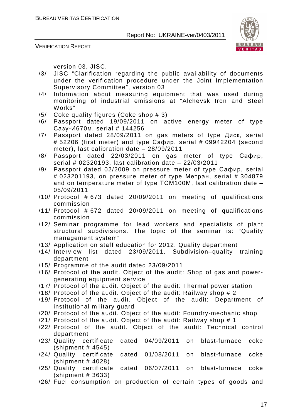

VERIFICATION REPORT

version 03, JISC.

- /3/ JISC "Clarification regarding the public availability of documents under the verification procedure under the Joint Implementation Supervisory Committee", version 03
- /4/ Information about measuring equipment that was used during monitoring of industrial emissions at "Alchevsk Iron and Steel Works"
- /5/ Coke quality figures (Coke shop # 3)
- /6/ Passport dated 19/09/2011 on active energy meter of type Сазу-И670м, serial # 144256
- /7/ Passport dated 28/09/2011 on gas meters of type Диск, serial # 52206 (first meter) and type Сафир, serial # 09942204 (second meter), last calibration date – 28/09/2011
- /8/ Passport dated 22/03/2011 on gas meter of type Сафир, serial # 02320193, last calibration date – 22/03/2011
- /9/ Passport dated 02/2009 on pressure meter of type Сафир, serial # 023201193, on pressure meter of type Метран, serial # 304879 and on temperature meter of type ТСМ100М, last calibration date – 05/09/2011
- /10/ Protocol # 673 dated 20/09/2011 on meeting of qualifications commission
- /11/ Protocol # 672 dated 20/09/2011 on meeting of qualifications commission
- /12/ Seminar programme for lead workers and specialists of plant structural subdivisions. The topic of the seminar is: "Quality management system"
- /13/ Application on staff education for 2012. Quality department
- /14/ Interview list dated 23/09/2011. Subdivision–quality training department
- /15/ Programme of the audit dated 23/09/2011
- /16/ Protocol of the audit. Object of the audit: Shop of gas and powergenerating equipment service
- /17/ Protocol of the audit. Object of the audit: Thermal power station
- /18/ Protocol of the audit. Object of the audit: Railway shop # 2
- /19/ Protocol of the audit. Object of the audit: Department of institutional military guard
- /20/ Protocol of the audit. Object of the audit: Foundry-mechanic shop
- /21/ Protocol of the audit. Object of the audit: Railway shop # 1
- /22/ Protocol of the audit. Object of the audit: Technical control department
- /23/ Quality certificate dated 04/09/2011 on blast-furnace coke (shipment # 4545)
- /24/ Quality certificate dated 01/08/2011 on blast-furnace coke (shipment # 4028)
- /25/ Quality certificate dated 06/07/2011 on blast-furnace coke (shipment # 3633)
- /26/ Fuel consumption on production of certain types of goods and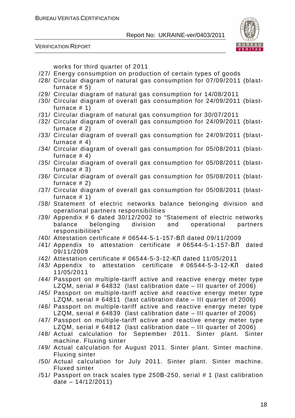

VERIFICATION REPORT

works for third quarter of 2011

- /27/ Energy consumption on production of certain types of goods
- /28/ Circular diagram of natural gas consumption for 07/09/2011 (blastfurnace  $# 5)$
- /29/ Circular diagram of natural gas consumption for 14/08/2011
- /30/ Circular diagram of overall gas consumption for 24/09/2011 (blastfurnace # 1)
- /31/ Circular diagram of natural gas consumption for 30/07/2011
- /32/ Circular diagram of overall gas consumption for 24/09/2011 (blastfurnace # 2)
- /33/ Circular diagram of overall gas consumption for 24/09/2011 (blastfurnace  $# 4)$
- /34/ Circular diagram of overall gas consumption for 05/08/2011 (blastfurnace  $# 4$ )
- /35/ Circular diagram of overall gas consumption for 05/08/2011 (blastfurnace # 3)
- /36/ Circular diagram of overall gas consumption for 05/08/2011 (blastfurnace # 2)
- /37/ Circular diagram of overall gas consumption for 05/08/2011 (blastfurnace # 1)
- /38/ Statement of electric networks balance belonging division and operational partners responsibilities
- /39/ Appendix # 6 dated 30/12/2002 to "Statement of electric networks balance belonging division and operational partners responsibilities"
- /40/ Attestation certificate # 06544-5-1-157-ВЛ dated 09/11/2009
- /41/ Appendix to attestation certificate # 06544-5-1-157-ВЛ dated 09/11/2009
- /42/ Attestation certificate # 06544-5-3-12-КЛ dated 11/05/2011
- /43/ Appendix to attestation certificate # 06544-5-3-12-КЛ dated 11/05/2011
- /44/ Passport on multiple-tariff active and reactive energy meter type LZQM, serial # 64832 (last calibration date – III quarter of 2006)
- /45/ Passport on multiple-tariff active and reactive energy meter type LZQM, serial # 64811 (last calibration date – III quarter of 2006)
- /46/ Passport on multiple-tariff active and reactive energy meter type LZQM, serial # 64839 (last calibration date – III quarter of 2006)
- /47/ Passport on multiple-tariff active and reactive energy meter type LZQM, serial # 64812 (last calibration date – III quarter of 2006)
- /48/ Actual calculation for September 2011. Sinter plant. Sinter machine. Fluxing sinter
- /49/ Actual calculation for August 2011. Sinter plant. Sinter machine. Fluxing sinter
- /50/ Actual calculation for July 2011. Sinter plant. Sinter machine. Fluxed sinter
- /51/ Passport on track scales type 250В-250, serial # 1 (last calibration date  $-14/12/2011$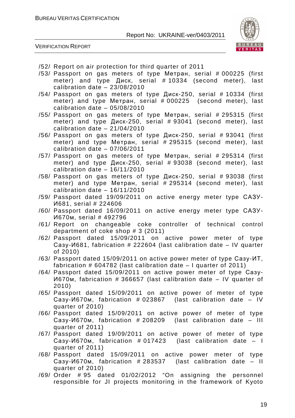

VERIFICATION REPORT

| /52/ Report on air protection for third quarter of 2011                                                                          |
|----------------------------------------------------------------------------------------------------------------------------------|
| /53/ Passport on gas meters of type Метран, serial # 000225 (first                                                               |
| meter) and type Диск, serial #10334 (second meter), last                                                                         |
| calibration date $-23/08/2010$                                                                                                   |
| /54/ Passport on gas meters of type Диск-250, serial # 10334 (first                                                              |
| meter) and type Merpah, serial # 000225 (second meter), last                                                                     |
| calibration date $-05/08/2010$                                                                                                   |
| /55/ Passport on gas meters of type Метран, serial # 295315 (first                                                               |
| meter) and type $\mu$ uck-250, serial # 93041 (second meter), last                                                               |
| calibration date $-21/04/2010$                                                                                                   |
| /56/ Passport on gas meters of type Диск-250, serial # 93041 (first                                                              |
| meter) and type Merpah, serial # 295315 (second meter), last                                                                     |
| calibration date $-07/06/2011$                                                                                                   |
|                                                                                                                                  |
| /57/ Passport on gas meters of type Метран, serial # 295314 (first                                                               |
| meter) and type $\mu$ uck-250, serial # 93038 (second meter), last                                                               |
| calibration date $-16/11/2010$                                                                                                   |
| /58/ Passport on gas meters of type Диск-250, serial # 93038 (first                                                              |
| meter) and type Merpah, serial # 295314 (second meter), last                                                                     |
| calibration date $-16/11/2010$                                                                                                   |
| /59/ Passport dated 19/09/2011 on active energy meter type CA3Y-                                                                 |
| И681, serial # 224606                                                                                                            |
| /60/ Passport dated 16/09/2011 on active energy meter type CA3Y-                                                                 |
| И670м, serial # 492796                                                                                                           |
| /61/ Report on changeable coke controller of technical control                                                                   |
| department of coke shop $# 3$ (2011)                                                                                             |
| /62/ Passport dated 15/09/2011 on active power meter of type                                                                     |
| Casy- <i>M681</i> , fabrication # 222604 (last calibration date - IV quarter                                                     |
| of 2010)                                                                                                                         |
| /63/ Passport dated 15/09/2011 on active power meter of type Casy-UT,                                                            |
| fabrication # 604782 (last calibration date $-1$ quarter of 2011)                                                                |
| /64/ Passport dated 15/09/2011 on active power meter of type Casy-                                                               |
| И670м, fabrication # 366657 (last calibration date - IV quarter of                                                               |
| 2010)                                                                                                                            |
| /65/ Passport dated 15/09/2011 on active power of meter of type                                                                  |
| Casy-И670м, fabrication # 023867 (last calibration date - IV                                                                     |
| quarter of 2010)                                                                                                                 |
| /66/ Passport dated 15/09/2011 on active power of meter of type                                                                  |
| Casy-И670м, fabrication # 208209 (last calibration date - III                                                                    |
| quarter of 2011)                                                                                                                 |
| /67/ Passport dated 19/09/2011 on active power of meter of type                                                                  |
| Casy- $M670M$ , fabrication # 017423 (last calibration date $-1$                                                                 |
| quarter of 2011)                                                                                                                 |
| /68/ Passport dated 15/09/2011 on active power meter of type                                                                     |
|                                                                                                                                  |
|                                                                                                                                  |
| Casy-И670м, fabrication # 283537 (last calibration date - II                                                                     |
| quarter of 2010)                                                                                                                 |
| /69/ Order # 95 dated 01/02/2012 "On assigning the personnel<br>responsible for JI projects monitoring in the framework of Kyoto |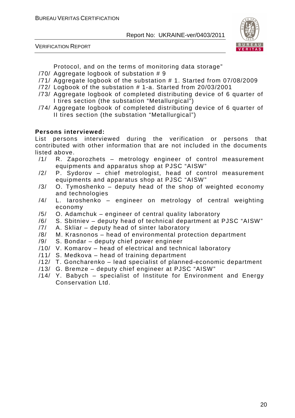VERIFICATION REPORT



Protocol, and on the terms of monitoring data storage"

- /70/ Aggregate logbook of substation # 9
- /71/ Aggregate logbook of the substation # 1. Started from 07/08/2009
- /72/ Logbook of the substation # 1-a. Started from 20/03/2001
- /73/ Aggregate logbook of completed distributing device of 6 quarter of I tires section (the substation "Metallurgical")
- /74/ Aggregate logbook of completed distributing device of 6 quarter of II tires section (the substation "Metallurgical")

#### **Persons interviewed:**

List persons interviewed during the verification or persons that contributed with other information that are not included in the documents listed above.

- /1/ R. Zaporozhets metrology engineer of control measurement equipments and apparatus shop at PJSC "AISW"
- /2/ P. Sydorov chief metrologist, head of control measurement equipments and apparatus shop at PJSC "AISW"
- $/3/$  O. Tymoshenko deputy head of the shop of weighted economy and technologies
- /4/ L. Iaroshenko engineer on metrology of central weighting economy
- /5/ O. Adamchuk engineer of central quality laboratory
- /6/ S. Sbitniev deputy head of technical department at PJSC "AISW"
- /7/ A. Skliar deputy head of sinter laboratory
- /8/ M. Krasnonos head of environmental protection department
- /9/ S. Bondar deputy chief power engineer
- /10/ V. Komarov head of electrical and technical laboratory
- /11/ S. Medkova head of training department
- /12/ T. Goncharenko lead specialist of planned-economic department
- /13/ G. Bremze deputy chief engineer at PJSC "AISW"
- /14/ Y. Babych specialist of Institute for Environment and Energy Conservation Ltd.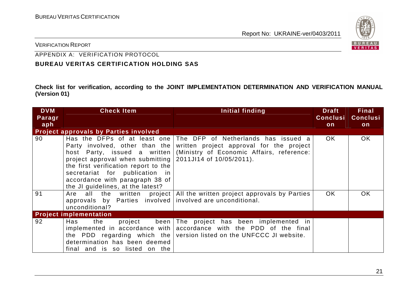

VERIFICATION REPORT

# APPENDIX A: VERIFICATION PROTOCOL

#### **BUREAU VERITAS CERTIFICATION HOLDING SAS**

**Check list for verification, according to the JOINT IMPLEMENTATION DETERMINATION AND VERIFICATION MANUAL (Version 01)** 

| <b>DVM</b><br>Paragr | <b>Check Item</b>                                                                                                                                                                                                                                                                    | Initial finding                                                                                                                                          | <b>Draft</b><br><b>Conclusi</b> | <b>Final</b><br><b>Conclusi</b> |
|----------------------|--------------------------------------------------------------------------------------------------------------------------------------------------------------------------------------------------------------------------------------------------------------------------------------|----------------------------------------------------------------------------------------------------------------------------------------------------------|---------------------------------|---------------------------------|
| aph                  |                                                                                                                                                                                                                                                                                      |                                                                                                                                                          | on                              | on                              |
|                      | <b>Project approvals by Parties involved</b>                                                                                                                                                                                                                                         |                                                                                                                                                          |                                 |                                 |
| 90                   | Has the DFPs of at least one<br>Party involved, other than the<br>host Party, issued a written<br>project approval when submitting<br>the first verification report to the<br>secretariat for publication in<br>accordance with paragraph 38 of<br>the JI guidelines, at the latest? | The DFP of Netherlands has issued a<br>written project approval for the project<br>(Ministry of Economic Affairs, reference:<br>2011JI14 of 10/05/2011). | OK.                             | OK.                             |
| 91                   | all the written project<br>Are<br>approvals by Parties involved<br>unconditional?                                                                                                                                                                                                    | All the written project approvals by Parties<br>involved are unconditional.                                                                              | OK.                             | <b>OK</b>                       |
|                      | <b>Project implementation</b>                                                                                                                                                                                                                                                        |                                                                                                                                                          |                                 |                                 |
| 92                   | Has<br>the<br>project been<br>implemented in accordance with<br>the PDD regarding which the<br>determination has been deemed<br>final and is so listed on the                                                                                                                        | The project has been implemented in<br>accordance with the PDD of the final<br>version listed on the UNFCCC JI website.                                  |                                 |                                 |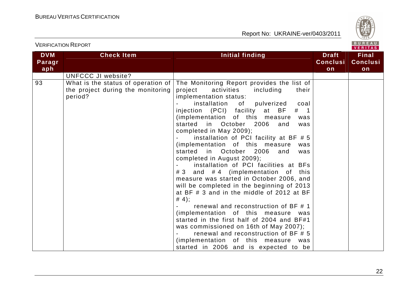

|                             |                                                                                    |                                                                                                                                                                                                                                                                                                                                                                                                                                                                                                                                                                                                                                                                                                                                                                                                                                                                                                                                                                       |                                       | <b>VENIIAS</b>                        |
|-----------------------------|------------------------------------------------------------------------------------|-----------------------------------------------------------------------------------------------------------------------------------------------------------------------------------------------------------------------------------------------------------------------------------------------------------------------------------------------------------------------------------------------------------------------------------------------------------------------------------------------------------------------------------------------------------------------------------------------------------------------------------------------------------------------------------------------------------------------------------------------------------------------------------------------------------------------------------------------------------------------------------------------------------------------------------------------------------------------|---------------------------------------|---------------------------------------|
| <b>DVM</b><br>Paragr<br>aph | <b>Check Item</b>                                                                  | Initial finding                                                                                                                                                                                                                                                                                                                                                                                                                                                                                                                                                                                                                                                                                                                                                                                                                                                                                                                                                       | <b>Draft</b><br><b>Conclusi</b><br>on | <b>Final</b><br><b>Conclusi</b><br>on |
|                             | <b>UNFCCC JI website?</b>                                                          |                                                                                                                                                                                                                                                                                                                                                                                                                                                                                                                                                                                                                                                                                                                                                                                                                                                                                                                                                                       |                                       |                                       |
| 93                          | What is the status of operation of<br>the project during the monitoring<br>period? | The Monitoring Report provides the list of<br>activities<br>project<br>including<br>their<br>implementation status:<br>installation of pulverized<br>coal<br>injection (PCI) facility at BF<br>$#$ 1<br>(implementation of this measure<br>was<br>in October 2006<br>started<br>and<br>was<br>completed in May 2009);<br>installation of PCI facility at BF #5<br>(implementation of this measure<br>was<br>started in October 2006<br>and<br>was<br>completed in August 2009);<br>installation of PCI facilities at BFs<br># 3 and # 4 (implementation of this<br>measure was started in October 2006, and<br>will be completed in the beginning of 2013<br>at BF # 3 and in the middle of 2012 at BF<br># 4);<br>renewal and reconstruction of BF # 1<br>(implementation of this measure was<br>started in the first half of 2004 and BF#1<br>was commissioned on 16th of May 2007);<br>renewal and reconstruction of BF # 5<br>(implementation of this measure was |                                       |                                       |
|                             |                                                                                    | started in 2006 and is expected to be                                                                                                                                                                                                                                                                                                                                                                                                                                                                                                                                                                                                                                                                                                                                                                                                                                                                                                                                 |                                       |                                       |

22

# VERIFICATION REPORT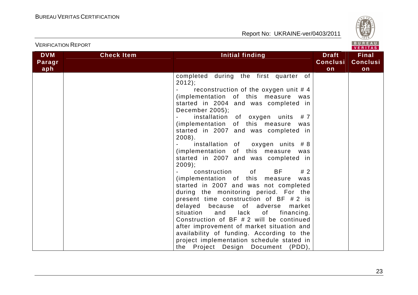

|            |                   |                                                                                                                                             |                 | <b>VERIIAS</b>  |
|------------|-------------------|---------------------------------------------------------------------------------------------------------------------------------------------|-----------------|-----------------|
| <b>DVM</b> | <b>Check Item</b> | <b>Initial finding</b>                                                                                                                      | <b>Draft</b>    | <b>Final</b>    |
| Paragr     |                   |                                                                                                                                             | <b>Conclusi</b> | <b>Conclusi</b> |
| aph        |                   |                                                                                                                                             | on              | on              |
|            |                   | completed during the first quarter of                                                                                                       |                 |                 |
|            |                   |                                                                                                                                             |                 |                 |
|            |                   | 2012);                                                                                                                                      |                 |                 |
|            |                   | reconstruction of the oxygen unit #4                                                                                                        |                 |                 |
|            |                   | (implementation of this measure was                                                                                                         |                 |                 |
|            |                   | started in 2004 and was completed in                                                                                                        |                 |                 |
|            |                   | December 2005);                                                                                                                             |                 |                 |
|            |                   | installation of oxygen units #7                                                                                                             |                 |                 |
|            |                   | (implementation of this measure<br>was                                                                                                      |                 |                 |
|            |                   | started in 2007 and was completed in                                                                                                        |                 |                 |
|            |                   | $2008$ ).                                                                                                                                   |                 |                 |
|            |                   | installation of oxygen units #8                                                                                                             |                 |                 |
|            |                   | (implementation of this measure<br>was                                                                                                      |                 |                 |
|            |                   | started in 2007 and was completed in                                                                                                        |                 |                 |
|            |                   | $2009$ ;                                                                                                                                    |                 |                 |
|            |                   | BF<br>construction<br>#2<br>of the contract of the contract of the contract of the contract of the contract of the contract of the contract |                 |                 |
|            |                   | (implementation of this measure<br>was                                                                                                      |                 |                 |
|            |                   | started in 2007 and was not completed                                                                                                       |                 |                 |
|            |                   | during the monitoring period. For the                                                                                                       |                 |                 |
|            |                   | present time construction of BF #2 is                                                                                                       |                 |                 |
|            |                   | delayed because of adverse<br>market                                                                                                        |                 |                 |
|            |                   | situation and lack of financing.                                                                                                            |                 |                 |
|            |                   | Construction of BF #2 will be continued                                                                                                     |                 |                 |
|            |                   | after improvement of market situation and                                                                                                   |                 |                 |
|            |                   |                                                                                                                                             |                 |                 |
|            |                   | availability of funding. According to the                                                                                                   |                 |                 |
|            |                   | project implementation schedule stated in                                                                                                   |                 |                 |
|            |                   | the Project Design Document (PDD),                                                                                                          |                 |                 |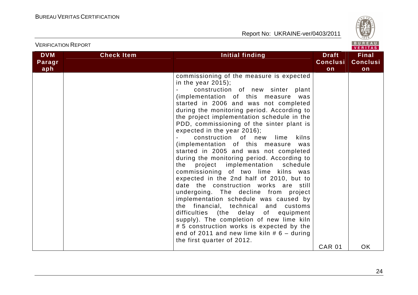

| <b>VERIFICATION REPORT</b>  |                   |                                                                                                                                                                                                                                                                                                                                                                                                                                                                                                                                                                                                                                                                                                                                                                                                                                                                                                                                                                                                                                                        |                                       |                                       |  |
|-----------------------------|-------------------|--------------------------------------------------------------------------------------------------------------------------------------------------------------------------------------------------------------------------------------------------------------------------------------------------------------------------------------------------------------------------------------------------------------------------------------------------------------------------------------------------------------------------------------------------------------------------------------------------------------------------------------------------------------------------------------------------------------------------------------------------------------------------------------------------------------------------------------------------------------------------------------------------------------------------------------------------------------------------------------------------------------------------------------------------------|---------------------------------------|---------------------------------------|--|
| <b>DVM</b><br>Paragr<br>aph | <b>Check Item</b> | Initial finding                                                                                                                                                                                                                                                                                                                                                                                                                                                                                                                                                                                                                                                                                                                                                                                                                                                                                                                                                                                                                                        | <b>Draft</b><br><b>Conclusi</b><br>on | <b>Final</b><br><b>Conclusi</b><br>on |  |
|                             |                   | commissioning of the measure is expected<br>in the year $2015$ ;<br>construction of new sinter<br>plant<br>(implementation of this measure<br>was<br>started in 2006 and was not completed<br>during the monitoring period. According to<br>the project implementation schedule in the<br>PDD, commissioning of the sinter plant is<br>expected in the year 2016);<br>construction of new lime<br>kilns<br>(implementation of this measure<br>was<br>started in 2005 and was not completed<br>during the monitoring period. According to<br>project implementation schedule<br>the<br>commissioning of two lime kilns was<br>expected in the 2nd half of 2010, but to<br>date the construction works are still<br>undergoing. The decline from project<br>implementation schedule was caused by<br>the financial, technical and customs<br>difficulties (the delay of equipment<br>supply). The completion of new lime kiln<br># 5 construction works is expected by the<br>end of 2011 and new lime kiln $# 6 -$ during<br>the first quarter of 2012. | <b>CAR 01</b>                         | <b>OK</b>                             |  |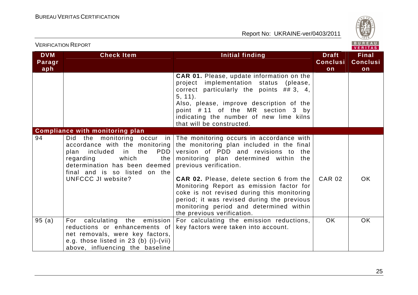

|                             | <u>VERILIONI IN ELOINI</u>                                                                                                                                                                                                                      |                                                                                                                                                                                                                                                                                                                                                                                                                                                                      |                                       |                                       |
|-----------------------------|-------------------------------------------------------------------------------------------------------------------------------------------------------------------------------------------------------------------------------------------------|----------------------------------------------------------------------------------------------------------------------------------------------------------------------------------------------------------------------------------------------------------------------------------------------------------------------------------------------------------------------------------------------------------------------------------------------------------------------|---------------------------------------|---------------------------------------|
| <b>DVM</b><br>Paragr<br>aph | <b>Check Item</b>                                                                                                                                                                                                                               | <b>Initial finding</b>                                                                                                                                                                                                                                                                                                                                                                                                                                               | <b>Draft</b><br><b>Conclusi</b><br>on | <b>Final</b><br><b>Conclusi</b><br>on |
|                             |                                                                                                                                                                                                                                                 | <b>CAR 01.</b> Please, update information on the<br>project implementation status (please,<br>correct particularly the points $\#$ 3, 4,<br>$5, 11$ .<br>Also, please, improve description of the<br>point #11 of the MR section 3 by<br>indicating the number of new lime kilns<br>that will be constructed.                                                                                                                                                        |                                       |                                       |
|                             | <b>Compliance with monitoring plan</b>                                                                                                                                                                                                          |                                                                                                                                                                                                                                                                                                                                                                                                                                                                      |                                       |                                       |
| 94                          | Did the monitoring occur<br>in I<br>accordance with the monitoring<br><b>PDD</b><br>included<br>in i<br>the<br>plan<br>which<br>regarding<br>the<br>determination has been deemed<br>final and is so listed on the<br><b>UNFCCC JI website?</b> | The monitoring occurs in accordance with<br>the monitoring plan included in the final<br>version of PDD and revisions to the<br>monitoring plan determined within the<br>previous verification.<br><b>CAR 02.</b> Please, delete section 6 from the<br>Monitoring Report as emission factor for<br>coke is not revised during this monitoring<br>period; it was revised during the previous<br>monitoring period and determined within<br>the previous verification. | <b>CAR 02</b>                         | OK.                                   |
| 95(a)                       | For calculating the emission<br>reductions or enhancements of<br>net removals, were key factors,<br>e.g. those listed in $23$ (b) (i)-(vii)<br>above, influencing the baseline                                                                  | For calculating the emission reductions,<br>key factors were taken into account.                                                                                                                                                                                                                                                                                                                                                                                     | <b>OK</b>                             | OK.                                   |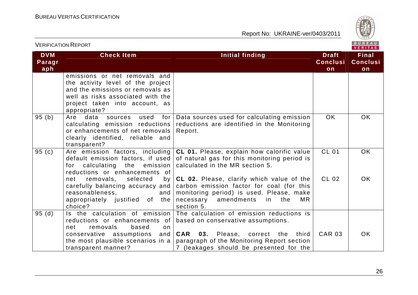

|                             | <b>VERIFICATION REPORT</b>                                                                                                                                                                    |                                                                                                                                                                                                                             | BUREAU<br><b>VERITAS</b>              |                                       |
|-----------------------------|-----------------------------------------------------------------------------------------------------------------------------------------------------------------------------------------------|-----------------------------------------------------------------------------------------------------------------------------------------------------------------------------------------------------------------------------|---------------------------------------|---------------------------------------|
| <b>DVM</b><br>Paragr<br>aph | <b>Check Item</b>                                                                                                                                                                             | <b>Initial finding</b>                                                                                                                                                                                                      | <b>Draft</b><br><b>Conclusi</b><br>on | <b>Final</b><br><b>Conclusi</b><br>on |
|                             | emissions or net removals and<br>the activity level of the project<br>and the emissions or removals as<br>well as risks associated with the<br>project taken into account, as<br>appropriate? |                                                                                                                                                                                                                             |                                       |                                       |
| 95(b)                       | data<br>Are<br>sources<br>used<br>for<br>calculating emission reductions<br>or enhancements of net removals<br>clearly identified, reliable and<br>transparent?                               | Data sources used for calculating emission<br>reductions are identified in the Monitoring<br>Report.                                                                                                                        | <b>OK</b>                             | OK                                    |
| 95 (c)                      | Are emission factors, including<br>default emission factors, if used<br>emission<br>calculating the<br>for<br>reductions or enhancements of                                                   | <b>CL 01.</b> Please, explain how calorific value<br>of natural gas for this monitoring period is<br>calculated in the MR section 5.                                                                                        | <b>CL 01</b>                          | OK.                                   |
|                             | removals,<br>selected<br>net<br>by <sub>l</sub><br>carefully balancing accuracy and  <br>reasonableness,<br>and  <br>appropriately justified of the<br>choice?                                | CL 02. Please, clarify which value of the<br>carbon emission factor for coal (for this<br>monitoring period) is used. Please, make<br>necessary amendments<br>the<br><b>MR</b><br>in.<br>section 5.                         | CL 02                                 | OK.                                   |
| 95(d)                       | Is the calculation of emission<br>reductions or enhancements of<br>removals<br>net<br>based<br>on<br>conservative assumptions<br>the most plausible scenarios in a<br>transparent manner?     | The calculation of emission reductions is<br>based on conservative assumptions.<br>and <b>CAR 03.</b> Please, correct the<br>third<br>paragraph of the Monitoring Report section<br>7 (leakages should be presented for the | <b>CAR 03</b>                         | <b>OK</b>                             |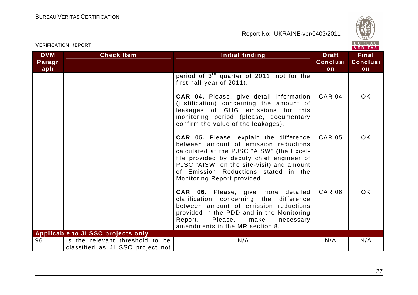

| <b>VERIFICATION REPORT</b>  |                                                                     |                                                                                                                                                                                                                                                                                                      |                                       | BUREAU<br><b>VERITAS</b>              |
|-----------------------------|---------------------------------------------------------------------|------------------------------------------------------------------------------------------------------------------------------------------------------------------------------------------------------------------------------------------------------------------------------------------------------|---------------------------------------|---------------------------------------|
| <b>DVM</b><br>Paragr<br>aph | <b>Check Item</b>                                                   | <b>Initial finding</b>                                                                                                                                                                                                                                                                               | <b>Draft</b><br><b>Conclusi</b><br>on | <b>Final</b><br><b>Conclusi</b><br>on |
|                             |                                                                     | period of 3 <sup>rd</sup> quarter of 2011, not for the<br>first half-year of 2011).                                                                                                                                                                                                                  |                                       |                                       |
|                             |                                                                     | <b>CAR 04.</b> Please, give detail information<br>(justification) concerning the amount of<br>leakages of GHG emissions for this<br>monitoring period (please, documentary<br>confirm the value of the leakages).                                                                                    | <b>CAR 04</b>                         | <b>OK</b>                             |
|                             |                                                                     | <b>CAR 05.</b> Please, explain the difference<br>between amount of emission reductions<br>calculated at the PJSC "AISW" (the Excel-<br>file provided by deputy chief engineer of<br>PJSC "AISW" on the site-visit) and amount<br>of Emission Reductions stated in the<br>Monitoring Report provided. | <b>CAR 05</b>                         | <b>OK</b>                             |
|                             |                                                                     | <b>CAR 06.</b> Please, give more detailed<br>clarification concerning the difference<br>between amount of emission reductions<br>provided in the PDD and in the Monitoring<br>Report. Please, make<br>necessary<br>amendments in the MR section 8.                                                   | <b>CAR 06</b>                         | <b>OK</b>                             |
|                             | Applicable to JI SSC projects only                                  |                                                                                                                                                                                                                                                                                                      |                                       |                                       |
| 96                          | Is the relevant threshold to be<br>classified as JI SSC project not | N/A                                                                                                                                                                                                                                                                                                  | N/A                                   | N/A                                   |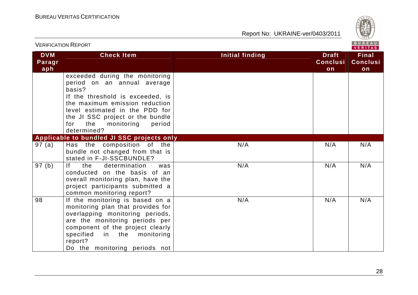

| <b>VERIFICATION REPORT</b>  |                                                                                                                                                                                                                                                                          |                 |                                       | BUREAU<br><b>VERITAS</b>              |
|-----------------------------|--------------------------------------------------------------------------------------------------------------------------------------------------------------------------------------------------------------------------------------------------------------------------|-----------------|---------------------------------------|---------------------------------------|
| <b>DVM</b><br>Paragr<br>aph | <b>Check Item</b>                                                                                                                                                                                                                                                        | Initial finding | <b>Draft</b><br><b>Conclusi</b><br>on | <b>Final</b><br><b>Conclusi</b><br>on |
|                             | exceeded during the monitoring<br>period on an annual average<br>basis?<br>If the threshold is exceeded, is<br>the maximum emission reduction<br>level estimated in the PDD for<br>the JI SSC project or the bundle<br>the<br>monitoring<br>period<br>for<br>determined? |                 |                                       |                                       |
|                             | Applicable to bundled JI SSC projects only                                                                                                                                                                                                                               |                 |                                       |                                       |
| 97 (a)                      | Has the composition of the<br>bundle not changed from that is<br>stated in F-JI-SSCBUNDLE?                                                                                                                                                                               | N/A             | N/A                                   | N/A                                   |
| 97 (b)                      | <sup>1</sup><br>determination<br>the<br>was<br>conducted on the basis of an<br>overall monitoring plan, have the<br>project participants submitted a<br>common monitoring report?                                                                                        | N/A             | N/A                                   | N/A                                   |
| 98                          | If the monitoring is based on a<br>monitoring plan that provides for<br>overlapping monitoring periods,<br>are the monitoring periods per<br>component of the project clearly<br>in the monitoring<br>specified<br>report?<br>Do the monitoring periods not              | N/A             | N/A                                   | N/A                                   |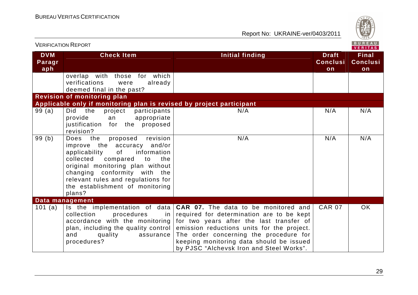

| <b>VERIFICATION REPORT</b>  |                                                                                                                                                                                                                                                                                                              |                                                                                                                                                                                                                                                                                                                                                | <b>BUREAU</b><br>VERITAS              |                                       |
|-----------------------------|--------------------------------------------------------------------------------------------------------------------------------------------------------------------------------------------------------------------------------------------------------------------------------------------------------------|------------------------------------------------------------------------------------------------------------------------------------------------------------------------------------------------------------------------------------------------------------------------------------------------------------------------------------------------|---------------------------------------|---------------------------------------|
| <b>DVM</b><br>Paragr<br>aph | <b>Check Item</b>                                                                                                                                                                                                                                                                                            | <b>Initial finding</b>                                                                                                                                                                                                                                                                                                                         | <b>Draft</b><br><b>Conclusi</b><br>on | <b>Final</b><br><b>Conclusi</b><br>on |
|                             | overlap with those for which<br>verifications<br>already<br>were<br>deemed final in the past?                                                                                                                                                                                                                |                                                                                                                                                                                                                                                                                                                                                |                                       |                                       |
|                             | <b>Revision of monitoring plan</b>                                                                                                                                                                                                                                                                           |                                                                                                                                                                                                                                                                                                                                                |                                       |                                       |
|                             | Applicable only if monitoring plan is revised by project participant                                                                                                                                                                                                                                         |                                                                                                                                                                                                                                                                                                                                                |                                       |                                       |
| 99(a)                       | Did<br>the<br>participants<br>project<br>provide<br>appropriate<br>an<br>justification for the proposed<br>revision?                                                                                                                                                                                         | N/A                                                                                                                                                                                                                                                                                                                                            | N/A                                   | N/A                                   |
| 99(b)                       | revision<br>the<br>proposed<br><b>Does</b><br>improve the accuracy and/or<br>information<br>applicability<br>of<br>collected<br>compared<br>to<br>the<br>original monitoring plan without<br>changing conformity with the<br>relevant rules and regulations for<br>the establishment of monitoring<br>plans? | N/A                                                                                                                                                                                                                                                                                                                                            | N/A                                   | N/A                                   |
|                             | Data management                                                                                                                                                                                                                                                                                              |                                                                                                                                                                                                                                                                                                                                                |                                       |                                       |
| 101 (a)                     | procedures<br>collection<br>in l<br>accordance with the monitoring<br>plan, including the quality control<br>and<br>assurance<br>quality<br>procedures?                                                                                                                                                      | Is the implementation of data $ CAR$ 07. The data to be monitored and<br>required for determination are to be kept<br>for two years after the last transfer of<br>emission reductions units for the project.<br>The order concerning the procedure for<br>keeping monitoring data should be issued<br>by PJSC "Alchevsk Iron and Steel Works". | <b>CAR 07</b>                         | <b>OK</b>                             |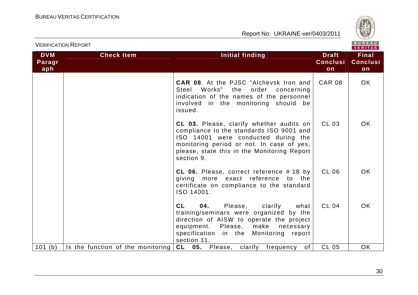

| <b>VERIFICATION REPORT</b>  |                                   |                                                                                                                                                                                                                                              |                                       | BUREAU<br><b>VERITAS</b>              |
|-----------------------------|-----------------------------------|----------------------------------------------------------------------------------------------------------------------------------------------------------------------------------------------------------------------------------------------|---------------------------------------|---------------------------------------|
| <b>DVM</b><br>Paragr<br>aph | <b>Check Item</b>                 | <b>Initial finding</b>                                                                                                                                                                                                                       | <b>Draft</b><br><b>Conclusi</b><br>on | <b>Final</b><br><b>Conclusi</b><br>on |
|                             |                                   | <b>CAR 08.</b> At the PJSC "Alchevsk Iron and<br>Steel Works" the<br>order concerning<br>indication of the names of the personnel<br>involved in the monitoring should be<br>issued.                                                         | <b>CAR 08</b>                         | OK.                                   |
|                             |                                   | CL 03. Please, clarify whether audits on<br>compliance to the standards ISO 9001 and<br>ISO 14001 were conducted during the<br>monitoring period or not. In case of yes,<br>please, state this in the Monitoring Report<br>section 9.        | CL 03                                 | OK.                                   |
|                             |                                   | CL 06. Please, correct reference #18 by<br>giving more exact reference to the<br>certificate on compliance to the standard<br>ISO 14001.                                                                                                     | <b>CL 06</b>                          | OK.                                   |
|                             |                                   | <b>CL</b><br>04.<br>Please,<br>clarify<br>what<br>training/seminars were organized by the<br>direction of AISW to operate the project<br>Please,<br>make<br>equipment.<br>necessary<br>specification in the Monitoring report<br>section 11. | <b>CL 04</b>                          | OK.                                   |
| 101(b)                      | Is the function of the monitoring | CL 05. Please, clarify<br>of<br>frequency                                                                                                                                                                                                    | <b>CL 05</b>                          | OK.                                   |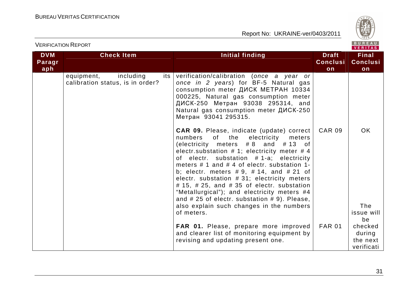

| <b>VERIFICATION REPORT</b>  |                                                                    |                                                                                                                                                                                                                                                                                                                                                                                                                                                                                                                                                   |                                       | BUREAU<br><b>VERITAS</b>                    |
|-----------------------------|--------------------------------------------------------------------|---------------------------------------------------------------------------------------------------------------------------------------------------------------------------------------------------------------------------------------------------------------------------------------------------------------------------------------------------------------------------------------------------------------------------------------------------------------------------------------------------------------------------------------------------|---------------------------------------|---------------------------------------------|
| <b>DVM</b><br>Paragr<br>aph | <b>Check Item</b>                                                  | Initial finding                                                                                                                                                                                                                                                                                                                                                                                                                                                                                                                                   | <b>Draft</b><br><b>Conclusi</b><br>on | <b>Final</b><br><b>Conclusi</b><br>on       |
|                             | including<br>equipment,<br>its<br>calibration status, is in order? | verification/calibration (once a year or<br>once in 2 years) for BF-5 Natural gas<br>consumption meter ДИСК МЕТРАН 10334<br>000225, Natural gas consumption meter<br>ДИСК-250 Метран 93038 295314, and<br>Natural gas consumption meter ДИСК-250<br>Метран 93041 295315.                                                                                                                                                                                                                                                                          |                                       |                                             |
|                             |                                                                    | <b>CAR 09.</b> Please, indicate (update) correct<br>numbers<br>of<br>the<br>electricity<br>meters<br>(electricity meters $#8$ and $#13$ of<br>electr.substation $# 1$ ; electricity meter $# 4$<br>of electr. substation #1-a; electricity<br>meters $# 1$ and $# 4$ of electr. substation 1-<br>b; electr. meters $# 9, # 14, and # 21 of$<br>electr. substation #31; electricity meters<br>$#$ 15, $#$ 25, and $#$ 35 of electr. substation<br>"Metallurgical"); and electricity meters #4<br>and $# 25$ of electr. substation $# 9$ ). Please, | <b>CAR 09</b>                         | <b>OK</b>                                   |
|                             |                                                                    | also explain such changes in the numbers<br>of meters.                                                                                                                                                                                                                                                                                                                                                                                                                                                                                            |                                       | The<br>issue will<br>be                     |
|                             |                                                                    | FAR 01. Please, prepare more improved<br>and clearer list of monitoring equipment by<br>revising and updating present one.                                                                                                                                                                                                                                                                                                                                                                                                                        | <b>FAR 01</b>                         | checked<br>during<br>the next<br>verificati |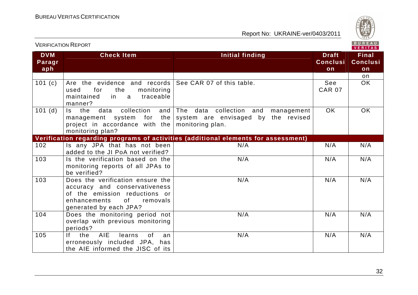

| VERITAS                     |                                                                                                                                                                |                                                                                                                                |                                       |                                       |
|-----------------------------|----------------------------------------------------------------------------------------------------------------------------------------------------------------|--------------------------------------------------------------------------------------------------------------------------------|---------------------------------------|---------------------------------------|
| <b>DVM</b><br>Paragr<br>aph | <b>Check Item</b>                                                                                                                                              | <b>Initial finding</b>                                                                                                         | <b>Draft</b><br><b>Conclusi</b><br>on | <b>Final</b><br><b>Conclusi</b><br>on |
|                             |                                                                                                                                                                |                                                                                                                                |                                       | on                                    |
| 101(c)                      | Are the evidence and records See CAR 07 of this table.<br>for<br>monitoring<br>used<br>the<br>traceable<br>maintained<br>in<br>a<br>manner?                    |                                                                                                                                | See<br><b>CAR 07</b>                  | <b>OK</b>                             |
| 101(d)                      | collection<br>Is the<br>data<br>project in accordance with the $ $<br>monitoring plan?                                                                         | and The data collection and<br>management<br>management system for the system are envisaged by the revised<br>monitoring plan. | <b>OK</b>                             | OK                                    |
|                             |                                                                                                                                                                | Verification regarding programs of activities (additional elements for assessment)                                             |                                       |                                       |
| 102                         | Is any JPA that has not been<br>added to the JI PoA not verified?                                                                                              | N/A                                                                                                                            | N/A                                   | N/A                                   |
| 103                         | Is the verification based on the<br>monitoring reports of all JPAs to<br>be verified?                                                                          | N/A                                                                                                                            | N/A                                   | N/A                                   |
| 103                         | Does the verification ensure the<br>accuracy and conservativeness<br>of the emission reductions or<br>0f<br>enhancements<br>removals<br>generated by each JPA? | N/A                                                                                                                            | N/A                                   | N/A                                   |
| 104                         | Does the monitoring period not<br>overlap with previous monitoring<br>periods?                                                                                 | N/A                                                                                                                            | N/A                                   | N/A                                   |
| 105                         | AIE<br>the<br>If.<br>learns<br>0f<br>an<br>erroneously included JPA, has<br>the AIE informed the JISC of its                                                   | N/A                                                                                                                            | N/A                                   | N/A                                   |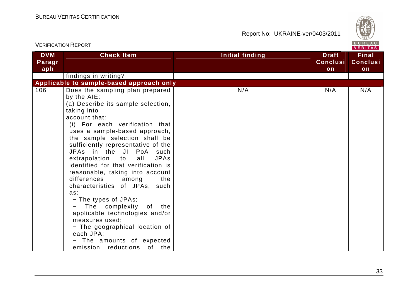

|                             | V LINII IVATIVIN INLEVINT                                                                                                                                                                                                                                                                                                                                                                                                                                                                                                                                                                                                                                                                                 |                 |                                       |                                       |  |
|-----------------------------|-----------------------------------------------------------------------------------------------------------------------------------------------------------------------------------------------------------------------------------------------------------------------------------------------------------------------------------------------------------------------------------------------------------------------------------------------------------------------------------------------------------------------------------------------------------------------------------------------------------------------------------------------------------------------------------------------------------|-----------------|---------------------------------------|---------------------------------------|--|
| <b>DVM</b><br>Paragr<br>aph | <b>Check Item</b>                                                                                                                                                                                                                                                                                                                                                                                                                                                                                                                                                                                                                                                                                         | Initial finding | <b>Draft</b><br><b>Conclusi</b><br>on | <b>Final</b><br><b>Conclusi</b><br>on |  |
|                             | findings in writing?                                                                                                                                                                                                                                                                                                                                                                                                                                                                                                                                                                                                                                                                                      |                 |                                       |                                       |  |
|                             | Applicable to sample-based approach only                                                                                                                                                                                                                                                                                                                                                                                                                                                                                                                                                                                                                                                                  |                 |                                       |                                       |  |
| 106                         | Does the sampling plan prepared<br>by the AIE:<br>(a) Describe its sample selection,<br>taking into<br>account that:<br>(i) For each verification that<br>uses a sample-based approach,<br>the sample selection shall be<br>sufficiently representative of the<br>JPAs in the JI PoA such<br><b>JPAs</b><br>extrapolation<br>all<br>to<br>identified for that verification is<br>reasonable, taking into account<br>differences<br>the<br>among<br>characteristics of JPAs, such<br>as:<br>- The types of JPAs;<br>The complexity<br>of the<br>applicable technologies and/or<br>measures used;<br>- The geographical location of<br>each JPA;<br>- The amounts of expected<br>emission reductions of the | N/A             | N/A                                   | N/A                                   |  |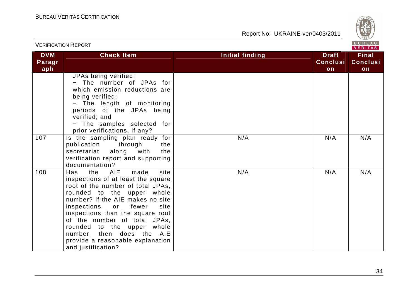

| <b>VERIFICATION REPORT</b>  |                                                                                                                                                                                                                                                                                                                                                                                                            |                                                                 | BUREAU<br><b>VERITAS</b>              |  |
|-----------------------------|------------------------------------------------------------------------------------------------------------------------------------------------------------------------------------------------------------------------------------------------------------------------------------------------------------------------------------------------------------------------------------------------------------|-----------------------------------------------------------------|---------------------------------------|--|
| <b>DVM</b><br>Paragr<br>aph | <b>Check Item</b>                                                                                                                                                                                                                                                                                                                                                                                          | <b>Initial finding</b><br><b>Draft</b><br><b>Conclusi</b><br>on | <b>Final</b><br><b>Conclusi</b><br>on |  |
|                             | JPAs being verified;<br>- The number of JPAs for<br>which emission reductions are<br>being verified;<br>The length of monitoring<br>periods of the JPAs being<br>verified; and<br>- The samples selected for<br>prior verifications, if any?                                                                                                                                                               |                                                                 |                                       |  |
| 107                         | Is the sampling plan ready for<br>publication<br>through<br>the<br>along<br>with<br>secretariat<br>the<br>verification report and supporting<br>documentation?                                                                                                                                                                                                                                             | N/A<br>N/A                                                      | N/A                                   |  |
| 108                         | the AIE<br>made<br>site<br>Has<br>inspections of at least the square<br>root of the number of total JPAs,<br>rounded to the upper whole<br>number? If the AIE makes no site<br>inspections<br>fewer<br>site<br>or<br>inspections than the square root<br>of the number of total JPAs,<br>rounded to the upper whole<br>number, then does the AIE<br>provide a reasonable explanation<br>and justification? | N/A<br>N/A                                                      | N/A                                   |  |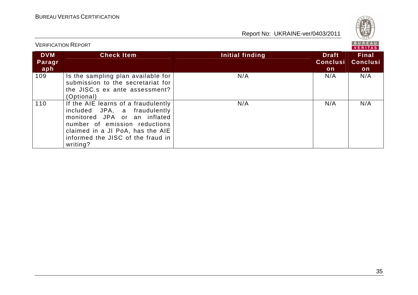

BUREAU<br>VERITAS VERIFICATION REPORT**DVM Check Item Initial finding Check Item Initial finding Check Item Initial finding Final Paragr Conclusi Conclusiaph onon** 109 | Is the sampling plan available for  $N/A$  $N/A$ N/A N/A N/A N/A submission to the secretariat for the JISC.s ex ante assessment? (Optional) N/A N/A N/A 110 | If the AIE learns of a fraudulently included JPA, a fraudulently monitored JPA or an inflated number of emission reductions claimed in a JI PoA, has the AIE informed the JISC of the fraud in writing?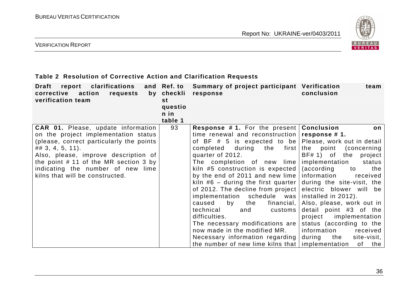

VERIFICATION REPORT

#### **Table 2 Resolution of Corrective Action and Clarification Requests**

| clarifications<br>Draft<br>report<br>action<br>corrective<br>requests<br>verification team | and Ref. to<br>by checkli<br>st<br>questio<br>n in<br>table 1 | Summary of project participant Verification<br>response   | team<br>conclusion           |
|--------------------------------------------------------------------------------------------|---------------------------------------------------------------|-----------------------------------------------------------|------------------------------|
| <b>CAR 01.</b> Please, update information                                                  | 93                                                            | <b>Response #1.</b> For the present   Conclusion          | on                           |
| on the project implementation status                                                       |                                                               | time renewal and reconstruction $\sqrt{rsp}$ response #1. |                              |
| (please, correct particularly the points                                                   |                                                               | of BF # 5 is expected to be Please, work out in detail    |                              |
| $\# \# 3, 4, 5, 11$ .                                                                      |                                                               | during the first the point<br>completed                   | (concerning)                 |
| Also, please, improve description of                                                       |                                                               | quarter of 2012.                                          | BF# 1) of the<br>project     |
| the point #11 of the MR section 3 by                                                       |                                                               | The completion of new lime                                | implementation<br>status     |
| indicating the number of new lime                                                          |                                                               | kiln #5 construction is expected $ $                      | (according<br>to<br>the      |
| kilns that will be constructed.                                                            |                                                               | by the end of 2011 and new lime $ $ information           | received                     |
|                                                                                            |                                                               | kiln #6 – during the first quarter $\vert$                | during the site-visit, the   |
|                                                                                            |                                                               | of 2012. The decline from project electric blower will be |                              |
|                                                                                            |                                                               | implementation schedule was                               | installed in 2012).          |
|                                                                                            |                                                               | financial,<br>caused<br>by<br>the                         | Also, please, work out in    |
|                                                                                            |                                                               | technical<br>customs<br>and                               | detail point #3 of the       |
|                                                                                            |                                                               | difficulties.                                             | project implementation       |
|                                                                                            |                                                               | The necessary modifications are                           | status (according to the     |
|                                                                                            |                                                               | now made in the modified MR.                              | information<br>received      |
|                                                                                            |                                                               | Necessary information regarding                           | during<br>the<br>site-visit, |
|                                                                                            |                                                               | the number of new lime kilns that   implementation        | of<br>the                    |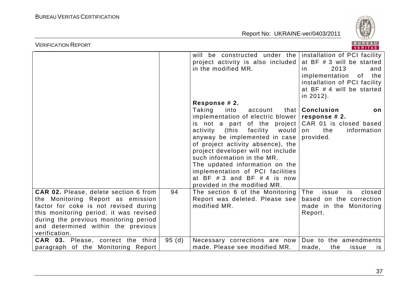

| <b>VERIFICATION REPORT</b>                                                                                                                                                                                                                                           |       |                                                                                                                                                                                                                                                                                                                                                                                                                                                               | BUREAU<br><b>VERITAS</b>                                                                                                                                                                    |
|----------------------------------------------------------------------------------------------------------------------------------------------------------------------------------------------------------------------------------------------------------------------|-------|---------------------------------------------------------------------------------------------------------------------------------------------------------------------------------------------------------------------------------------------------------------------------------------------------------------------------------------------------------------------------------------------------------------------------------------------------------------|---------------------------------------------------------------------------------------------------------------------------------------------------------------------------------------------|
|                                                                                                                                                                                                                                                                      |       | will be constructed under the<br>project activity is also included<br>in the modified MR.                                                                                                                                                                                                                                                                                                                                                                     | installation of PCI facility<br>at BF # 3 will be started<br>2013<br>and<br><i>in</i><br>implementation<br>of the<br>installation of PCI facility<br>at BF # 4 will be started<br>in 2012). |
|                                                                                                                                                                                                                                                                      |       | Response # 2.<br>Taking<br>into<br>account<br>implementation of electric blower $ $ response # 2.<br>is not a part of the project<br>(this<br>would<br>activity<br>facility<br>anyway be implemented in case<br>of project activity absence), the<br>project developer will not include<br>such information in the MR.<br>The updated information on the<br>implementation of PCI facilities<br>at BF $#3$ and BF $#4$ is now<br>provided in the modified MR. | that   Conclusion<br>on<br>CAR 01 is closed based<br>the<br>information<br>on<br>provided.                                                                                                  |
| <b>CAR 02.</b> Please, delete section 6 from<br>the Monitoring Report as emission<br>factor for coke is not revised during<br>this monitoring period; it was revised<br>during the previous monitoring period<br>and determined within the previous<br>verification. | 94    | The section 6 of the Monitoring<br>Report was deleted. Please see<br>modified MR.                                                                                                                                                                                                                                                                                                                                                                             | The<br>issue<br>is<br>closed<br>based on the correction<br>made in the Monitoring<br>Report.                                                                                                |
| <b>CAR 03.</b> Please, correct the third<br>paragraph of the Monitoring Report                                                                                                                                                                                       | 95(d) | Necessary corrections are now<br>made. Please see modified MR.                                                                                                                                                                                                                                                                                                                                                                                                | Due to the amendments<br>made,<br>the<br>issue<br>is                                                                                                                                        |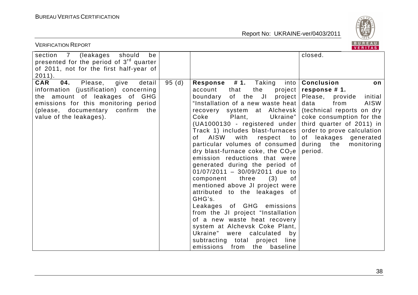

| <b>VERIFICATION REPORT</b>                                                                                                                                                                                                          |       |                                                                                                                                                                                                                                                                                                                                                                                                                                                                                                                                                                                                                                                                                                                                                                                                                                                                    | BUREAU<br><b>VERITAS</b>                                                                                                                                                                                                                                                             |
|-------------------------------------------------------------------------------------------------------------------------------------------------------------------------------------------------------------------------------------|-------|--------------------------------------------------------------------------------------------------------------------------------------------------------------------------------------------------------------------------------------------------------------------------------------------------------------------------------------------------------------------------------------------------------------------------------------------------------------------------------------------------------------------------------------------------------------------------------------------------------------------------------------------------------------------------------------------------------------------------------------------------------------------------------------------------------------------------------------------------------------------|--------------------------------------------------------------------------------------------------------------------------------------------------------------------------------------------------------------------------------------------------------------------------------------|
| should<br>be<br>section<br>7 (leakages<br>presented for the period of 3 <sup>rd</sup> quarter<br>of 2011, not for the first half-year of<br>$2011$ ).                                                                               |       |                                                                                                                                                                                                                                                                                                                                                                                                                                                                                                                                                                                                                                                                                                                                                                                                                                                                    | closed.                                                                                                                                                                                                                                                                              |
| <b>CAR</b><br>detail<br>04.<br>Please,<br>give<br>information (justification) concerning<br>the amount of leakages of GHG<br>emissions for this monitoring period<br>(please, documentary<br>confirm the<br>value of the leakages). | 95(d) | Response #1.<br>Taking<br>into<br>account<br>that<br>the<br>project<br>of the JI<br>boundary<br>project<br>"Installation of a new waste heat<br>recovery system at Alchevsk<br>Coke<br>Ukraine"<br>Plant,<br>(UA1000130 - registered under<br>Track 1) includes blast-furnaces<br>AISW<br>with<br>0f<br>respect<br>to<br>particular volumes of consumed<br>dry blast-furnace coke, the $CO2e$<br>emission reductions that were<br>generated during the period of<br>$01/07/2011 - 30/09/2011$ due to<br>(3)<br>component<br>three<br>οf<br>mentioned above JI project were<br>attributed to the leakages of<br>GHG's.<br>Leakages of GHG emissions<br>from the JI project "Installation<br>of a new waste heat recovery<br>system at Alchevsk Coke Plant,<br>Ukraine" were calculated<br>by<br>subtracting total<br>project<br>line<br>emissions from the baseline | <b>Conclusion</b><br>on<br>response #1.<br>Please,<br>initial<br>provide<br>AISW<br>data<br>from<br>(technical reports on dry<br>coke consumption for the<br>third quarter of 2011) in<br>order to prove calculation<br>of leakages generated<br>during the<br>monitoring<br>period. |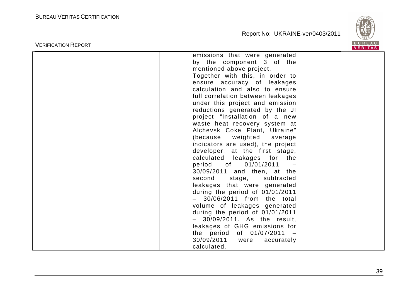

|                            |                                                                                                                                                                                                                                                                                                                                                                                                                                                                                                                                                                                                                                                                                                                                                                                                                                                   | VERITAS       |
|----------------------------|---------------------------------------------------------------------------------------------------------------------------------------------------------------------------------------------------------------------------------------------------------------------------------------------------------------------------------------------------------------------------------------------------------------------------------------------------------------------------------------------------------------------------------------------------------------------------------------------------------------------------------------------------------------------------------------------------------------------------------------------------------------------------------------------------------------------------------------------------|---------------|
| <b>VERIFICATION REPORT</b> | emissions that were generated<br>by the component 3 of the<br>mentioned above project.<br>Together with this, in order to<br>ensure accuracy of leakages<br>calculation and also to ensure<br>full correlation between leakages<br>under this project and emission<br>reductions generated by the JI<br>project "Installation of a new<br>waste heat recovery system at<br>Alchevsk Coke Plant, Ukraine"<br>(because<br>weighted<br>average<br>indicators are used), the project<br>developer, at the first stage,<br>calculated leakages for the<br>01/01/2011<br>period of<br>30/09/2011 and then, at the<br>second stage,<br>subtracted<br>leakages that were generated<br>during the period of 01/01/2011<br>$-$ 30/06/2011 from the total<br>volume of leakages generated<br>during the period of 01/01/2011<br>- 30/09/2011. As the result, | <b>BUREAU</b> |
|                            | leakages of GHG emissions for<br>the period of 01/07/2011 -<br>30/09/2011<br>accurately<br>were<br>calculated.                                                                                                                                                                                                                                                                                                                                                                                                                                                                                                                                                                                                                                                                                                                                    |               |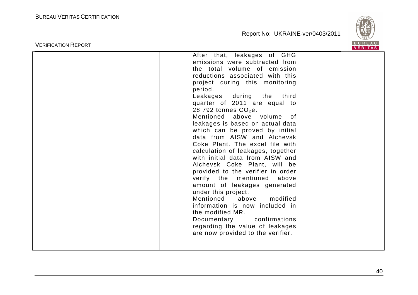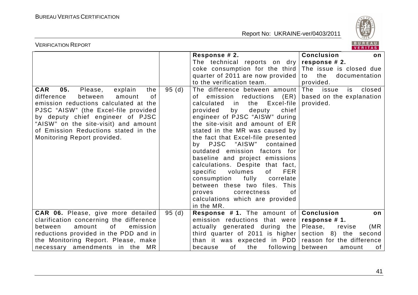

| <b>VERIFICATION REPORT</b>                                                                                                                                                                                                                                                |       |                                                                                                                                                                                                                                                                                                                                                                                                                                                                                                                                                                                                      | BUREAU<br>VERITAS                                                                                                                                     |
|---------------------------------------------------------------------------------------------------------------------------------------------------------------------------------------------------------------------------------------------------------------------------|-------|------------------------------------------------------------------------------------------------------------------------------------------------------------------------------------------------------------------------------------------------------------------------------------------------------------------------------------------------------------------------------------------------------------------------------------------------------------------------------------------------------------------------------------------------------------------------------------------------------|-------------------------------------------------------------------------------------------------------------------------------------------------------|
| 05.<br><b>CAR</b><br>Please,<br>explain<br>the                                                                                                                                                                                                                            | 95(d) | Response # 2.<br>The technical reports on dry<br>coke consumption for the third<br>quarter of 2011 are now provided<br>to the verification team.<br>The difference between amount                                                                                                                                                                                                                                                                                                                                                                                                                    | <b>Conclusion</b><br>on<br>response # 2.<br>The issue is closed due<br>to<br>the<br>documentation<br>provided.<br>The<br>issue<br>closed<br>is.       |
| difference<br>0f<br>between<br>amount<br>emission reductions calculated at the<br>PJSC "AISW" (the Excel-file provided<br>by deputy chief engineer of PJSC<br>"AISW" on the site-visit) and amount<br>of Emission Reductions stated in the<br>Monitoring Report provided. |       | (ER)<br>emission<br>reductions<br>of<br>Excel-file<br>calculated<br>the<br>in.<br>chief<br>by<br>deputy<br>provided<br>engineer of PJSC "AISW" during<br>the site-visit and amount of ER<br>stated in the MR was caused by<br>the fact that Excel-file presented<br>by PJSC "AISW"<br>contained<br>outdated emission factors for<br>baseline and project emissions<br>calculations. Despite that fact,<br>specific volumes<br><b>FER</b><br>of<br>fully<br>consumption<br>correlate<br>between these two files. This<br>correctness<br>οf<br>proves<br>calculations which are provided<br>in the MR. | based on the explanation<br>provided.                                                                                                                 |
| CAR 06. Please, give more detailed<br>clarification concerning the difference<br>of<br>emission<br>between<br>amount<br>reductions provided in the PDD and in<br>the Monitoring Report. Please, make<br>necessary amendments in the MR                                    | 95(d) | <b>Response #1.</b> The amount of<br>emission reductions that were<br>actually generated during the<br>third quarter of 2011 is higher<br>than it was expected in PDD<br>of<br>following<br>because<br>the                                                                                                                                                                                                                                                                                                                                                                                           | <b>Conclusion</b><br>on<br>response #1.<br>Please,<br>(MR)<br>revise<br>section 8) the second<br>reason for the difference<br>between<br>of<br>amount |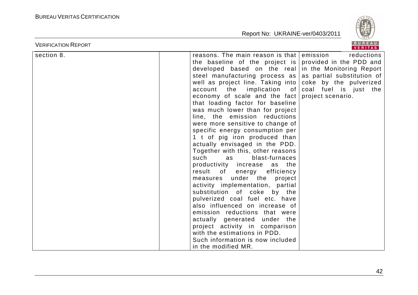

| <b>VERIFICATION REPORT</b> |                                                                                                                                                                                                                                                                                                                                                                                                                                                                                                                                                                                                                                                                                                                                                                                                                                                                                                                                                                                                     | <b>BUREAU</b><br><b>VERITAS</b>                                                                                                                                                     |
|----------------------------|-----------------------------------------------------------------------------------------------------------------------------------------------------------------------------------------------------------------------------------------------------------------------------------------------------------------------------------------------------------------------------------------------------------------------------------------------------------------------------------------------------------------------------------------------------------------------------------------------------------------------------------------------------------------------------------------------------------------------------------------------------------------------------------------------------------------------------------------------------------------------------------------------------------------------------------------------------------------------------------------------------|-------------------------------------------------------------------------------------------------------------------------------------------------------------------------------------|
| section 8.                 | reasons. The main reason is that<br>the baseline of the project is<br>developed based on the real<br>steel manufacturing process as<br>well as project line. Taking into<br>account the implication of<br>economy of scale and the fact<br>that loading factor for baseline<br>was much lower than for project<br>line, the emission reductions<br>were more sensitive to change of<br>specific energy consumption per<br>1 t of pig iron produced than<br>actually envisaged in the PDD.<br>Together with this, other reasons<br>such<br>blast-furnaces<br>as<br>productivity increase as the<br>result of energy efficiency<br>under the project<br>measures<br>activity implementation, partial<br>substitution of coke by the<br>pulverized coal fuel etc. have<br>also influenced on increase of<br>emission reductions that were<br>actually generated under the<br>project activity in comparison<br>with the estimations in PDD.<br>Such information is now included<br>in the modified MR. | emission<br>reductions<br>provided in the PDD and<br>in the Monitoring Report<br>as partial substitution of<br>coke by the pulverized<br>coal fuel is just the<br>project scenario. |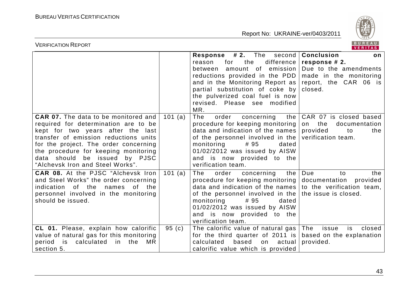

| <b>VERIFICATION REPORT</b>                                                                                                                                                                                                                                                                                              |         |                                                                                                                                                                                                                                                                                                                  | BUREAU<br><b>VERITAS</b>                                                                                                                         |
|-------------------------------------------------------------------------------------------------------------------------------------------------------------------------------------------------------------------------------------------------------------------------------------------------------------------------|---------|------------------------------------------------------------------------------------------------------------------------------------------------------------------------------------------------------------------------------------------------------------------------------------------------------------------|--------------------------------------------------------------------------------------------------------------------------------------------------|
|                                                                                                                                                                                                                                                                                                                         |         | <b>Response #2.</b> The<br>the<br>for<br>reason<br>amount of emission<br>between<br>reductions provided in the PDD<br>and in the Monitoring Report as<br>partial substitution of coke by<br>the pulverized coal fuel is now<br>revised. Please see modified<br>MR.                                               | second   Conclusion<br>on<br>difference $ $ response # 2.<br>Due to the amendments<br>made in the monitoring<br>report, the CAR 06 is<br>closed. |
| <b>CAR 07.</b> The data to be monitored and<br>required for determination are to be<br>kept for two years after the last<br>transfer of emission reductions units<br>for the project. The order concerning<br>the procedure for keeping monitoring<br>data should be issued by PJSC<br>"Alchevsk Iron and Steel Works". | 101 (a) | The<br>order<br>concerning<br>the<br>procedure for keeping monitoring<br>data and indication of the names<br>of the personnel involved in the<br>monitoring<br>#95<br>dated<br>01/02/2012 was issued by AISW<br>and is now provided to the<br>verification team.                                                 | CAR 07 is closed based<br>on the<br>documentation<br>provided<br>to<br>the<br>verification team.                                                 |
| <b>CAR 08.</b> At the PJSC "Alchevsk Iron<br>and Steel Works" the order concerning<br>indication of the<br>names<br>of the<br>personnel involved in the monitoring<br>should be issued.                                                                                                                                 | 101(a)  | The<br>order<br>concerning<br>the<br>procedure for keeping monitoring<br>data and indication of the names to the verification team,<br>of the personnel involved in the the issue is closed.<br>monitoring<br># 95<br>dated<br>01/02/2012 was issued by AISW<br>and is now provided to the<br>verification team. | Due<br>to<br>the<br>documentation<br>provided                                                                                                    |
| CL 01. Please, explain how calorific<br>value of natural gas for this monitoring<br>period is calculated<br>in the<br>MR.<br>section 5.                                                                                                                                                                                 | 95(c)   | The calorific value of natural gas<br>for the third quarter of 2011 is<br>based<br>calculated<br>actual<br>on<br>calorific value which is provided                                                                                                                                                               | The<br>closed<br>issue<br>is.<br>based on the explanation<br>provided.                                                                           |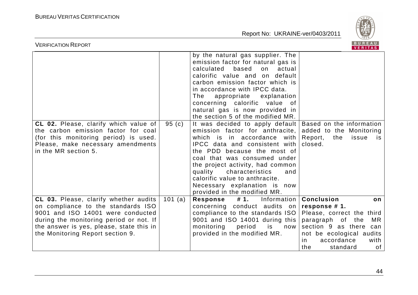

| <b>VERIFICATION REPORT</b>                                                                                                                                                                                                                  |         |                                                                                                                                                                                                                                                                                                                                                                                                      | BUREAU<br>VERITAS                                                                                                                                                                                           |
|---------------------------------------------------------------------------------------------------------------------------------------------------------------------------------------------------------------------------------------------|---------|------------------------------------------------------------------------------------------------------------------------------------------------------------------------------------------------------------------------------------------------------------------------------------------------------------------------------------------------------------------------------------------------------|-------------------------------------------------------------------------------------------------------------------------------------------------------------------------------------------------------------|
|                                                                                                                                                                                                                                             |         | by the natural gas supplier. The<br>emission factor for natural gas is<br>calculated<br>based<br>on<br>actual<br>calorific value and on default<br>carbon emission factor which is<br>in accordance with IPCC data.<br>The<br>appropriate explanation<br>concerning calorific value of<br>natural gas is now provided in<br>the section 5 of the modified MR.                                        |                                                                                                                                                                                                             |
| CL 02. Please, clarify which value of<br>the carbon emission factor for coal<br>(for this monitoring period) is used.<br>Please, make necessary amendments<br>in the MR section 5.                                                          | 95(c)   | It was decided to apply default   Based on the information<br>emission factor for anthracite,<br>which is in accordance with<br>IPCC data and consistent with<br>the PDD because the most of<br>coal that was consumed under<br>the project activity, had common<br>quality characteristics<br>and<br>calorific value to anthracite.<br>Necessary explanation is now<br>provided in the modified MR. | added to the Monitoring<br>Report,<br>the<br>issue<br>is<br>closed.                                                                                                                                         |
| CL 03. Please, clarify whether audits<br>on compliance to the standards ISO<br>9001 and ISO 14001 were conducted<br>during the monitoring period or not. If<br>the answer is yes, please, state this in<br>the Monitoring Report section 9. | 101 (a) | #1. Information<br>Response<br>concerning conduct audits<br>on<br>compliance to the standards ISO<br>9001 and ISO 14001 during this<br>monitoring<br>period<br>is<br>now<br>provided in the modified MR.                                                                                                                                                                                             | <b>Conclusion</b><br>on<br>response #1.<br>Please, correct the third<br>paragraph of the<br>MR.<br>section 9 as there can<br>not be ecological audits<br>accordance<br>in.<br>with<br>the<br>standard<br>of |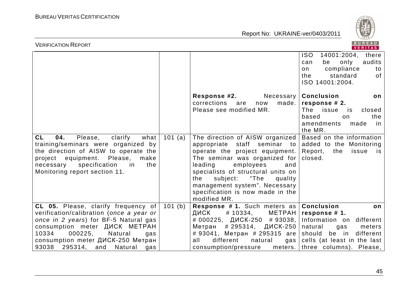

| BUREAU<br><b>VERIFICATION REPORT</b><br>VERITAS                                                                                                                                                                                                                                          |         |                                                                                                                                                                                                                                                                                                                                                                                       |                                                                                                                                                            |
|------------------------------------------------------------------------------------------------------------------------------------------------------------------------------------------------------------------------------------------------------------------------------------------|---------|---------------------------------------------------------------------------------------------------------------------------------------------------------------------------------------------------------------------------------------------------------------------------------------------------------------------------------------------------------------------------------------|------------------------------------------------------------------------------------------------------------------------------------------------------------|
|                                                                                                                                                                                                                                                                                          |         |                                                                                                                                                                                                                                                                                                                                                                                       | <b>ISO</b><br>14001:2004, there<br>audits<br>be<br>only<br>can<br>compliance<br>on<br>to<br>standard<br>the<br>of<br>ISO 14001:2004.                       |
|                                                                                                                                                                                                                                                                                          |         | Response #2.<br>made.<br>corrections<br>are<br>now<br>Please see modified MR.                                                                                                                                                                                                                                                                                                         | Necessary   Conclusion<br>on<br>response # 2.<br>The<br>issue<br>is is<br>closed<br>the<br>based<br>$\Omega$<br>amendments<br>made<br>in in<br>the MR.     |
| <b>CL</b><br>04.<br>Please,<br>clarify<br>what<br>training/seminars were organized by<br>the direction of AISW to operate the<br>project equipment. Please,<br>make<br>specification<br>necessary<br>in<br>the<br>Monitoring report section 11.                                          | 101 (a) | The direction of AISW organized   Based on the information<br>appropriate staff seminar to added to the Monitoring<br>operate the project equipment.<br>The seminar was organized for<br>leading<br>employees<br>and<br>specialists of structural units on<br>"The<br>the<br>subject:<br>quality<br>management system". Necessary<br>specification is now made in the<br>modified MR. | Report,<br>the<br>issue<br>is<br>closed.                                                                                                                   |
| CL 05. Please, clarify frequency of<br>verification/calibration (once a year or<br>once in 2 years) for BF-5 Natural gas<br>consumption meter <b>ДИСК</b> METPAH<br>000225,<br>10334<br>Natural<br>gas<br>consumption meter ДИСК-250 Метран<br>93038<br>295314,<br>and<br>Natural<br>gas | 101(b)  | <b>Response #1.</b> Such meters as $ $ <b>Conclusion</b><br>ДИСК<br># 10334,<br># 000225, ДИСК-250 # 93038,   Information on different<br># 295314, ДИСК-250<br>Метран<br># 93041, Метран # 295315 are<br>different<br>all<br>natural<br>gas<br>consumption/pressure                                                                                                                  | on<br>METPAH   response # 1.<br>natural<br>meters<br>gas<br>be in<br>should<br>different<br>cells (at least in the last<br>meters. three columns). Please, |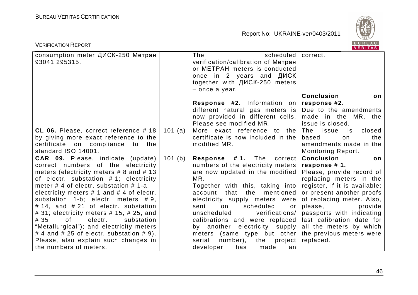

| <b>VERIFICATION REPORT</b>                                                                                                                                                                                                                                                                                                                                                                                                                                                                                                                                                                                     |         |                                                                                                                                                                                                                                                                                                                                                                                                                                                                                     | BUREAU<br><b>VERITAS</b>                                                                                                                                                                                                                                                                                                                       |
|----------------------------------------------------------------------------------------------------------------------------------------------------------------------------------------------------------------------------------------------------------------------------------------------------------------------------------------------------------------------------------------------------------------------------------------------------------------------------------------------------------------------------------------------------------------------------------------------------------------|---------|-------------------------------------------------------------------------------------------------------------------------------------------------------------------------------------------------------------------------------------------------------------------------------------------------------------------------------------------------------------------------------------------------------------------------------------------------------------------------------------|------------------------------------------------------------------------------------------------------------------------------------------------------------------------------------------------------------------------------------------------------------------------------------------------------------------------------------------------|
| consumption meter ДИСК-250 Метран<br>93041 295315.                                                                                                                                                                                                                                                                                                                                                                                                                                                                                                                                                             |         | The<br>scheduled<br>verification/calibration of Метран<br>or METPAH meters is conducted<br>once in 2 years and $\mu$<br>together with ДИСК-250 meters<br>$-$ once a year.                                                                                                                                                                                                                                                                                                           | correct.<br><b>Conclusion</b><br>on                                                                                                                                                                                                                                                                                                            |
|                                                                                                                                                                                                                                                                                                                                                                                                                                                                                                                                                                                                                |         | <b>Response #2.</b> Information on<br>different natural gas meters is<br>now provided in different cells.<br>Please see modified MR.                                                                                                                                                                                                                                                                                                                                                | response #2.<br>Due to the amendments<br>made in the MR, the<br>issue is closed.                                                                                                                                                                                                                                                               |
| CL 06. Please, correct reference $# 18$<br>by giving more exact reference to the<br>certificate on compliance to the<br>standard ISO 14001.                                                                                                                                                                                                                                                                                                                                                                                                                                                                    | 101 (a) | More exact reference to the<br>certificate is now included in the<br>modified MR.                                                                                                                                                                                                                                                                                                                                                                                                   | The<br>issue<br>is<br>closed<br>the<br>based<br>on<br>amendments made in the<br><b>Monitoring Report.</b>                                                                                                                                                                                                                                      |
| CAR 09. Please, indicate (update)<br>correct numbers of the electricity<br>meters (electricity meters $# 8$ and $# 13$<br>of electr. substation $# 1$ ; electricity<br>meter $#$ 4 of electr. substation $#$ 1-a;<br>electricity meters $# 1$ and $# 4$ of electr.<br>substation $1-b$ ; electr. meters $\# 9$ ,<br># 14, and # 21 of electr. substation<br>$\#$ 31; electricity meters $\#$ 15, $\#$ 25, and<br># 35<br>of<br>electr.<br>substation<br>"Metallurgical"); and electricity meters<br># 4 and # 25 of electr. substation # 9).<br>Please, also explain such changes in<br>the numbers of meters. | 101(b)  | # 1.<br>The<br><b>Response</b><br>correct<br>numbers of the electricity meters<br>are now updated in the modified<br>MR.<br>Together with this, taking into<br>the<br>mentioned<br>that<br>account<br>electricity supply meters were<br>scheduled<br>sent<br>on<br>or<br>verifications/<br>unscheduled<br>calibrations and were replaced<br>by another electricity supply<br>meters (same type but other)<br>serial<br>number),<br>the<br>project<br>developer<br>has<br>made<br>an | <b>Conclusion</b><br>on<br>response #1.<br>Please, provide record of<br>replacing meters in the<br>register, if it is available;<br>or present another proofs<br>of replacing meter. Also,<br>please,<br>provide<br>passports with indicating<br>last calibration date for<br>all the meters by which<br>the previous meters were<br>replaced. |